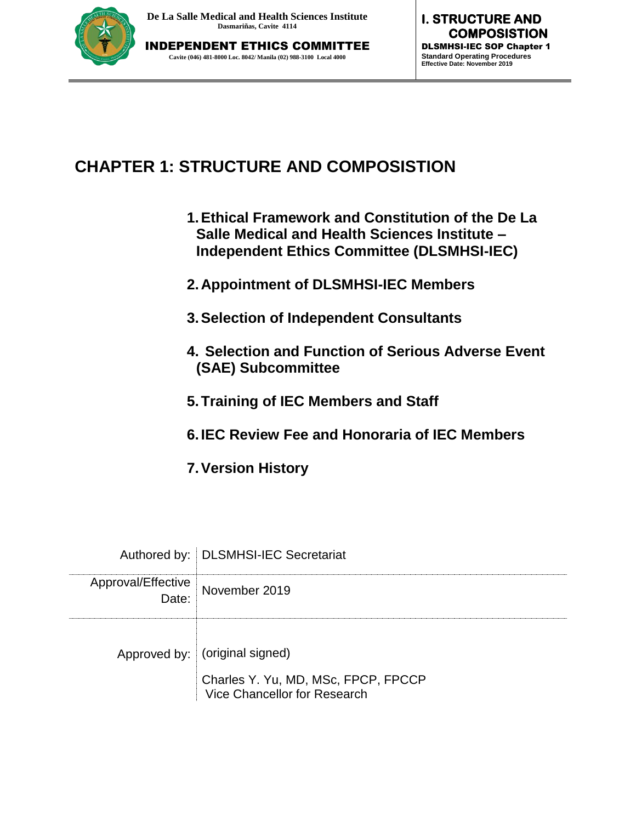

# **CHAPTER 1: STRUCTURE AND COMPOSISTION**

- **1.Ethical Framework and Constitution of the De La Salle Medical and Health Sciences Institute – Independent Ethics Committee (DLSMHSI-IEC)**
- **2.Appointment of DLSMHSI-IEC Members**
- **3.Selection of Independent Consultants**
- **4. Selection and Function of Serious Adverse Event (SAE) Subcommittee**
- **5.Training of IEC Members and Staff**
- **6.IEC Review Fee and Honoraria of IEC Members**
- **7.Version History**

|                                           | Authored by:   DLSMHSI-IEC Secretariat                                |
|-------------------------------------------|-----------------------------------------------------------------------|
| Approval/Effective<br>Date: November 2019 |                                                                       |
|                                           | Approved by: (original signed)<br>Charles Y. Yu, MD, MSc, FPCP, FPCCP |
|                                           | Vice Chancellor for Research                                          |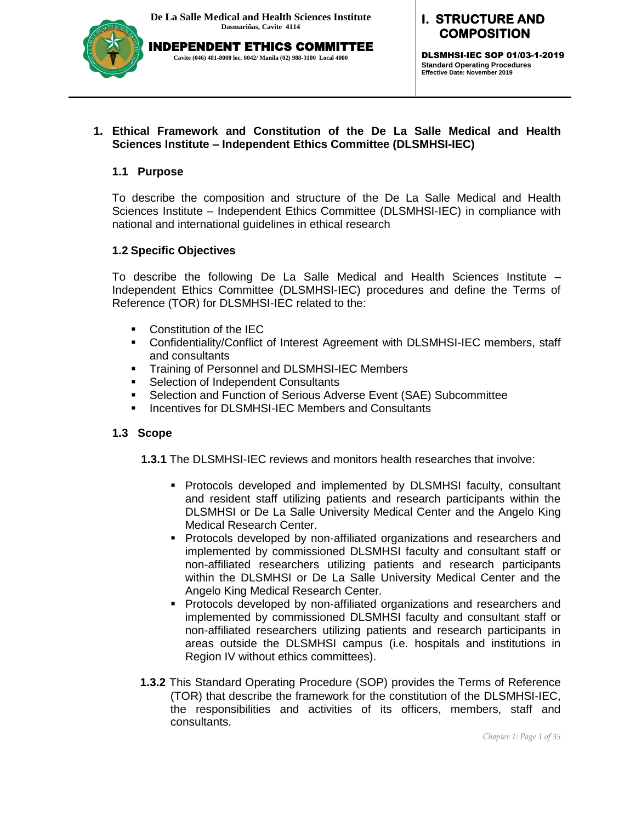

**I. STRUCTURE AND COMPOSITION** 

DLSMHSI-IEC SOP 01/03-1-2019 **Standard Operating Procedures Effective Date: November 2019**

#### **1. Ethical Framework and Constitution of the De La Salle Medical and Health Sciences Institute – Independent Ethics Committee (DLSMHSI-IEC)**

#### **1.1 Purpose**

To describe the composition and structure of the De La Salle Medical and Health Sciences Institute – Independent Ethics Committee (DLSMHSI-IEC) in compliance with national and international guidelines in ethical research

#### **1.2 Specific Objectives**

To describe the following De La Salle Medical and Health Sciences Institute – Independent Ethics Committee (DLSMHSI-IEC) procedures and define the Terms of Reference (TOR) for DLSMHSI-IEC related to the:

- **Constitution of the IEC**
- Confidentiality/Conflict of Interest Agreement with DLSMHSI-IEC members, staff and consultants
- **Training of Personnel and DLSMHSI-IEC Members**
- **Selection of Independent Consultants**
- Selection and Function of Serious Adverse Event (SAE) Subcommittee
- **Incentives for DLSMHSI-IEC Members and Consultants**

### **1.3 Scope**

**1.3.1** The DLSMHSI-IEC reviews and monitors health researches that involve:

- Protocols developed and implemented by DLSMHSI faculty, consultant and resident staff utilizing patients and research participants within the DLSMHSI or De La Salle University Medical Center and the Angelo King Medical Research Center.
- **Protocols developed by non-affiliated organizations and researchers and** implemented by commissioned DLSMHSI faculty and consultant staff or non-affiliated researchers utilizing patients and research participants within the DLSMHSI or De La Salle University Medical Center and the Angelo King Medical Research Center.
- **Protocols developed by non-affiliated organizations and researchers and** implemented by commissioned DLSMHSI faculty and consultant staff or non-affiliated researchers utilizing patients and research participants in areas outside the DLSMHSI campus (i.e. hospitals and institutions in Region IV without ethics committees).
- **1.3.2** This Standard Operating Procedure (SOP) provides the Terms of Reference (TOR) that describe the framework for the constitution of the DLSMHSI-IEC, the responsibilities and activities of its officers, members, staff and consultants.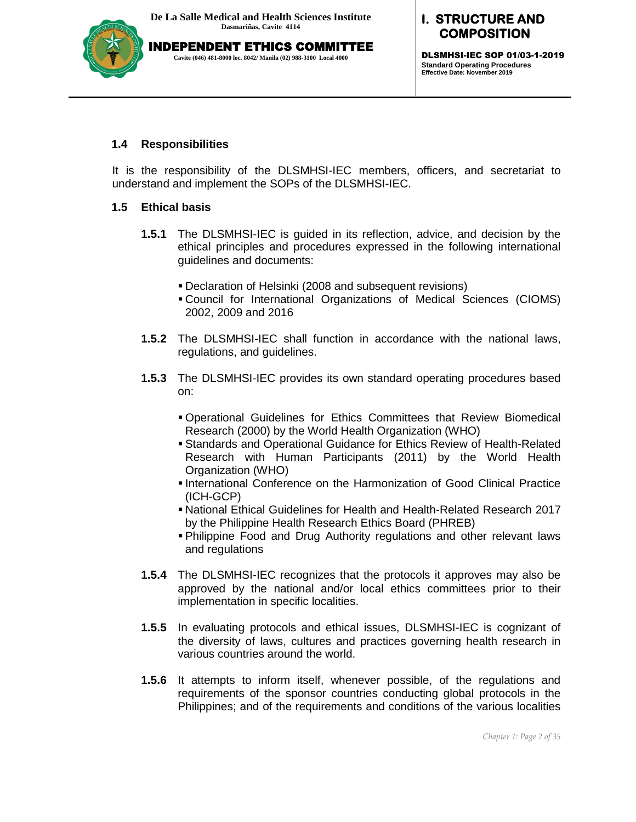

DLSMHSI-IEC SOP 01/03-1-2019 **Standard Operating Procedures Effective Date: November 2019**

#### **1.4 Responsibilities**

It is the responsibility of the DLSMHSI-IEC members, officers, and secretariat to understand and implement the SOPs of the DLSMHSI-IEC.

#### **1.5 Ethical basis**

- **1.5.1** The DLSMHSI-IEC is guided in its reflection, advice, and decision by the ethical principles and procedures expressed in the following international guidelines and documents:
	- Declaration of Helsinki (2008 and subsequent revisions)
	- Council for International Organizations of Medical Sciences (CIOMS) 2002, 2009 and 2016
- **1.5.2** The DLSMHSI-IEC shall function in accordance with the national laws, regulations, and guidelines.
- **1.5.3** The DLSMHSI-IEC provides its own standard operating procedures based on:
	- Operational Guidelines for Ethics Committees that Review Biomedical Research (2000) by the World Health Organization (WHO)
	- Standards and Operational Guidance for Ethics Review of Health-Related Research with Human Participants (2011) by the World Health Organization (WHO)
	- **International Conference on the Harmonization of Good Clinical Practice** (ICH-GCP)
	- National Ethical Guidelines for Health and Health-Related Research 2017 by the Philippine Health Research Ethics Board (PHREB)
	- Philippine Food and Drug Authority regulations and other relevant laws and regulations
- **1.5.4** The DLSMHSI-IEC recognizes that the protocols it approves may also be approved by the national and/or local ethics committees prior to their implementation in specific localities.
- **1.5.5** In evaluating protocols and ethical issues, DLSMHSI-IEC is cognizant of the diversity of laws, cultures and practices governing health research in various countries around the world.
- **1.5.6** It attempts to inform itself, whenever possible, of the regulations and requirements of the sponsor countries conducting global protocols in the Philippines; and of the requirements and conditions of the various localities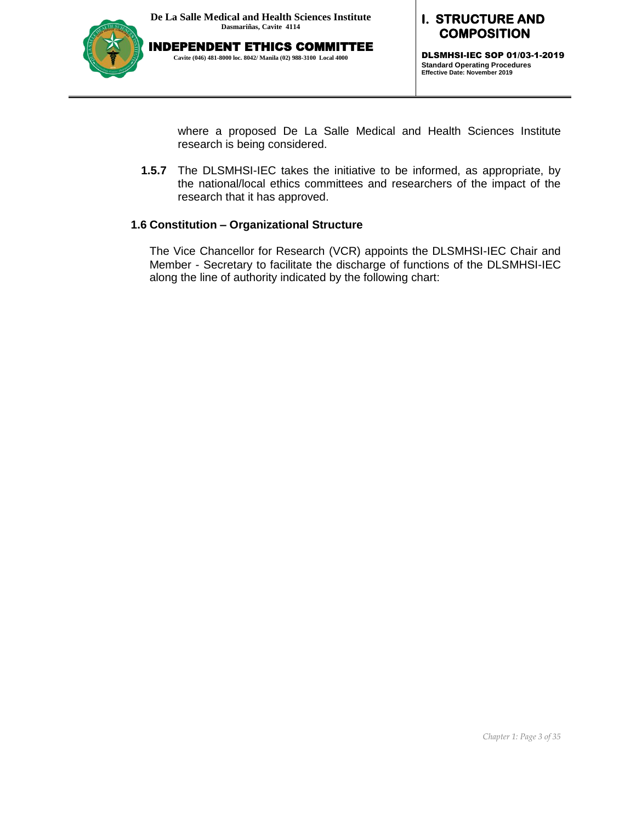

#### **I. STRUCTURE AND COMPOSITION**

DLSMHSI-IEC SOP 01/03-1-2019 **Standard Operating Procedures Effective Date: November 2019**

where a proposed De La Salle Medical and Health Sciences Institute research is being considered.

**1.5.7** The DLSMHSI-IEC takes the initiative to be informed, as appropriate, by the national/local ethics committees and researchers of the impact of the research that it has approved.

#### **1.6 Constitution – Organizational Structure**

The Vice Chancellor for Research (VCR) appoints the DLSMHSI-IEC Chair and Member - Secretary to facilitate the discharge of functions of the DLSMHSI-IEC along the line of authority indicated by the following chart: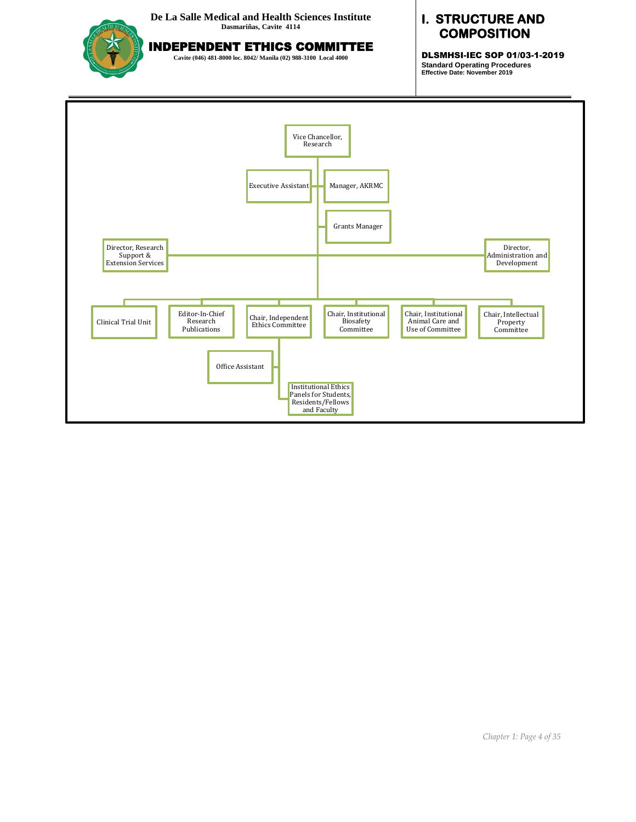

INDEPENDENT ETHICS COMMITTEE

**Cavite (046) 481-8000 loc. 8042/ Manila (02) 988-3100 Local 4000**

### **I. STRUCTURE AND COMPOSITION**

DLSMHSI-IEC SOP 01/03-1-2019 **Standard Operating Procedures Effective Date: November 2019**

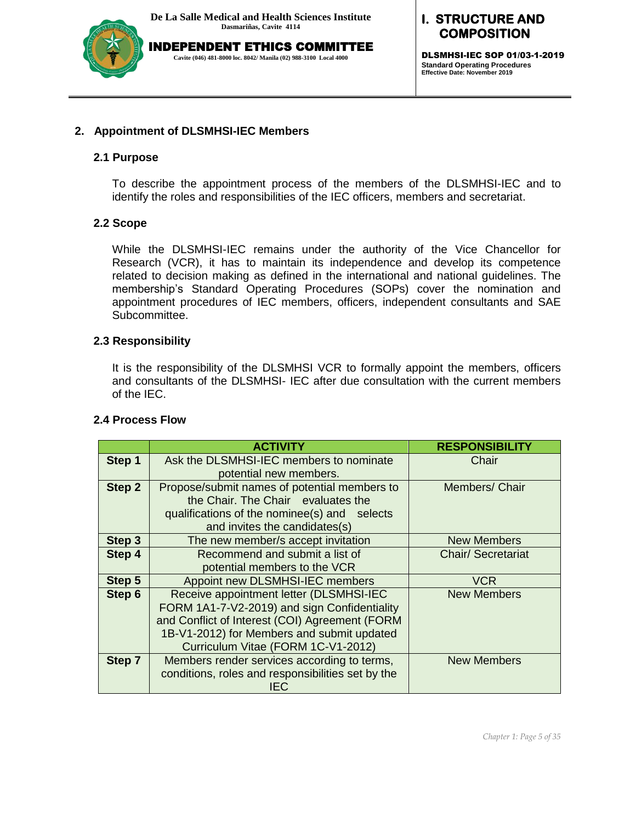

### **I. STRUCTURE AND COMPOSITION**

DLSMHSI-IEC SOP 01/03-1-2019 **Standard Operating Procedures Effective Date: November 2019**

#### **2. Appointment of DLSMHSI-IEC Members**

#### **2.1 Purpose**

To describe the appointment process of the members of the DLSMHSI-IEC and to identify the roles and responsibilities of the IEC officers, members and secretariat.

### **2.2 Scope**

While the DLSMHSI-IEC remains under the authority of the Vice Chancellor for Research (VCR), it has to maintain its independence and develop its competence related to decision making as defined in the international and national guidelines. The membership's Standard Operating Procedures (SOPs) cover the nomination and appointment procedures of IEC members, officers, independent consultants and SAE Subcommittee.

#### **2.3 Responsibility**

It is the responsibility of the DLSMHSI VCR to formally appoint the members, officers and consultants of the DLSMHSI- IEC after due consultation with the current members of the IEC.

|        | <b>ACTIVITY</b>                                   | <b>RESPONSIBILITY</b>     |
|--------|---------------------------------------------------|---------------------------|
| Step 1 | Ask the DLSMHSI-IEC members to nominate           | Chair                     |
|        | potential new members.                            |                           |
| Step 2 | Propose/submit names of potential members to      | Members/ Chair            |
|        | the Chair. The Chair evaluates the                |                           |
|        | qualifications of the nominee(s) and selects      |                           |
|        | and invites the candidates(s)                     |                           |
| Step 3 | The new member/s accept invitation                | <b>New Members</b>        |
| Step 4 | Recommend and submit a list of                    | <b>Chair/ Secretariat</b> |
|        | potential members to the VCR                      |                           |
| Step 5 | Appoint new DLSMHSI-IEC members                   | <b>VCR</b>                |
| Step 6 | Receive appointment letter (DLSMHSI-IEC           | <b>New Members</b>        |
|        | FORM 1A1-7-V2-2019) and sign Confidentiality      |                           |
|        | and Conflict of Interest (COI) Agreement (FORM    |                           |
|        | 1B-V1-2012) for Members and submit updated        |                           |
|        | Curriculum Vitae (FORM 1C-V1-2012)                |                           |
| Step 7 | Members render services according to terms,       | <b>New Members</b>        |
|        | conditions, roles and responsibilities set by the |                           |
|        | IEC                                               |                           |

#### **2.4 Process Flow**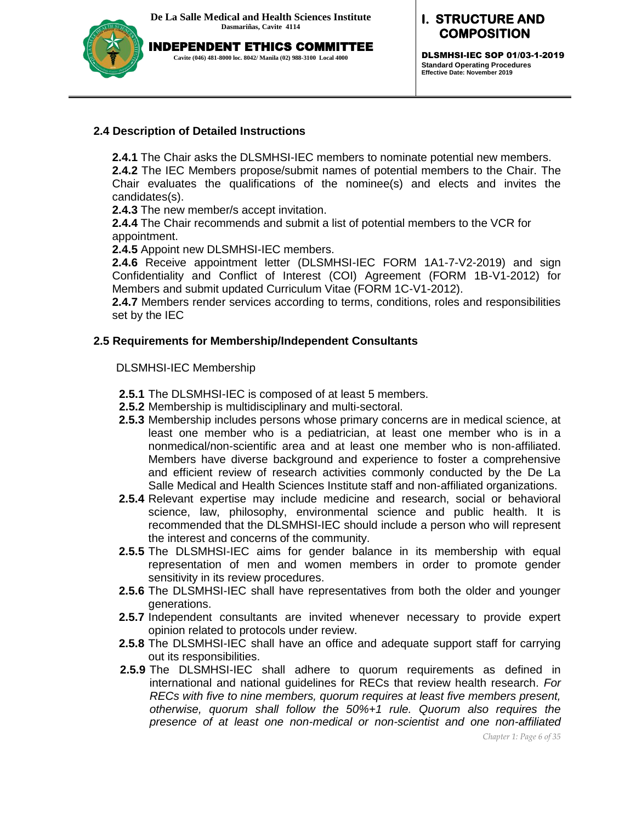

### **I. STRUCTURE AND COMPOSITION**

DLSMHSI-IEC SOP 01/03-1-2019 **Standard Operating Procedures Effective Date: November 2019**

### **2.4 Description of Detailed Instructions**

**2.4.1** The Chair asks the DLSMHSI-IEC members to nominate potential new members.

**2.4.2** The IEC Members propose/submit names of potential members to the Chair. The Chair evaluates the qualifications of the nominee(s) and elects and invites the candidates(s).

**2.4.3** The new member/s accept invitation.

**2.4.4** The Chair recommends and submit a list of potential members to the VCR for appointment.

**2.4.5** Appoint new DLSMHSI-IEC members.

**2.4.6** Receive appointment letter (DLSMHSI-IEC FORM 1A1-7-V2-2019) and sign Confidentiality and Conflict of Interest (COI) Agreement (FORM 1B-V1-2012) for Members and submit updated Curriculum Vitae (FORM 1C-V1-2012).

**2.4.7** Members render services according to terms, conditions, roles and responsibilities set by the IEC

#### **2.5 Requirements for Membership/Independent Consultants**

#### DLSMHSI-IEC Membership

- **2.5.1** The DLSMHSI-IEC is composed of at least 5 members.
- **2.5.2** Membership is multidisciplinary and multi-sectoral.
- **2.5.3** Membership includes persons whose primary concerns are in medical science, at least one member who is a pediatrician, at least one member who is in a nonmedical/non-scientific area and at least one member who is non-affiliated. Members have diverse background and experience to foster a comprehensive and efficient review of research activities commonly conducted by the De La Salle Medical and Health Sciences Institute staff and non-affiliated organizations.
- **2.5.4** Relevant expertise may include medicine and research, social or behavioral science, law, philosophy, environmental science and public health. It is recommended that the DLSMHSI-IEC should include a person who will represent the interest and concerns of the community.
- **2.5.5** The DLSMHSI-IEC aims for gender balance in its membership with equal representation of men and women members in order to promote gender sensitivity in its review procedures.
- **2.5.6** The DLSMHSI-IEC shall have representatives from both the older and younger generations.
- **2.5.7** Independent consultants are invited whenever necessary to provide expert opinion related to protocols under review.
- **2.5.8** The DLSMHSI-IEC shall have an office and adequate support staff for carrying out its responsibilities.
- **2.5.9** The DLSMHSI-IEC shall adhere to quorum requirements as defined in international and national guidelines for RECs that review health research. *For RECs with five to nine members, quorum requires at least five members present, otherwise, quorum shall follow the 50%+1 rule. Quorum also requires the presence of at least one non-medical or non-scientist and one non-affiliated*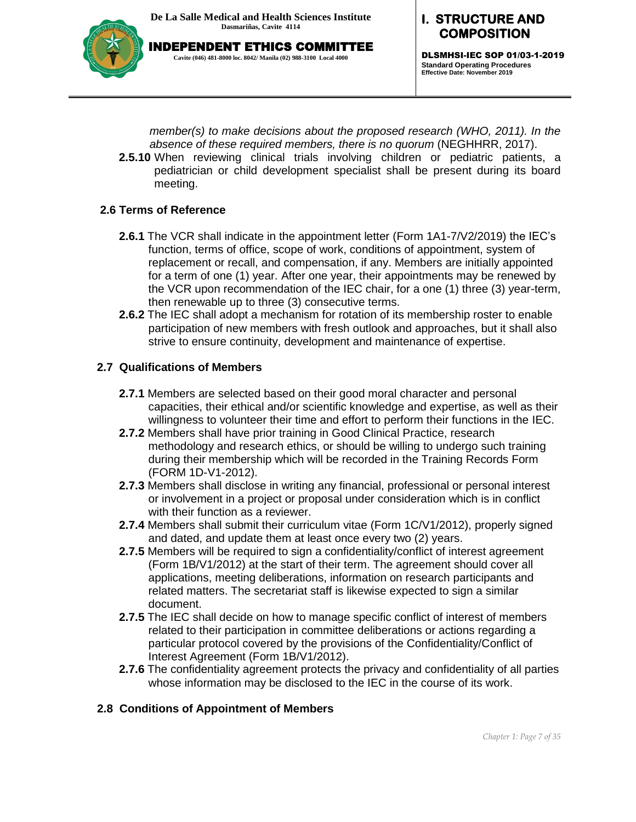

**I. STRUCTURE AND COMPOSITION** 

> DLSMHSI-IEC SOP 01/03-1-2019 **Standard Operating Procedures Effective Date: November 2019**

*member(s) to make decisions about the proposed research (WHO, 2011). In the absence of these required members, there is no quorum* (NEGHHRR, 2017).

**2.5.10** When reviewing clinical trials involving children or pediatric patients, a pediatrician or child development specialist shall be present during its board meeting.

#### **2.6 Terms of Reference**

- **2.6.1** The VCR shall indicate in the appointment letter (Form 1A1-7/V2/2019) the IEC's function, terms of office, scope of work, conditions of appointment, system of replacement or recall, and compensation, if any. Members are initially appointed for a term of one (1) year. After one year, their appointments may be renewed by the VCR upon recommendation of the IEC chair, for a one (1) three (3) year-term, then renewable up to three (3) consecutive terms.
- **2.6.2** The IEC shall adopt a mechanism for rotation of its membership roster to enable participation of new members with fresh outlook and approaches, but it shall also strive to ensure continuity, development and maintenance of expertise.

#### **2.7 Qualifications of Members**

- **2.7.1** Members are selected based on their good moral character and personal capacities, their ethical and/or scientific knowledge and expertise, as well as their willingness to volunteer their time and effort to perform their functions in the IEC.
- **2.7.2** Members shall have prior training in Good Clinical Practice, research methodology and research ethics, or should be willing to undergo such training during their membership which will be recorded in the Training Records Form (FORM 1D-V1-2012).
- **2.7.3** Members shall disclose in writing any financial, professional or personal interest or involvement in a project or proposal under consideration which is in conflict with their function as a reviewer.
- **2.7.4** Members shall submit their curriculum vitae (Form 1C/V1/2012), properly signed and dated, and update them at least once every two (2) years.
- **2.7.5** Members will be required to sign a confidentiality/conflict of interest agreement (Form 1B/V1/2012) at the start of their term. The agreement should cover all applications, meeting deliberations, information on research participants and related matters. The secretariat staff is likewise expected to sign a similar document.
- **2.7.5** The IEC shall decide on how to manage specific conflict of interest of members related to their participation in committee deliberations or actions regarding a particular protocol covered by the provisions of the Confidentiality/Conflict of Interest Agreement (Form 1B/V1/2012).
- **2.7.6** The confidentiality agreement protects the privacy and confidentiality of all parties whose information may be disclosed to the IEC in the course of its work.

#### **2.8 Conditions of Appointment of Members**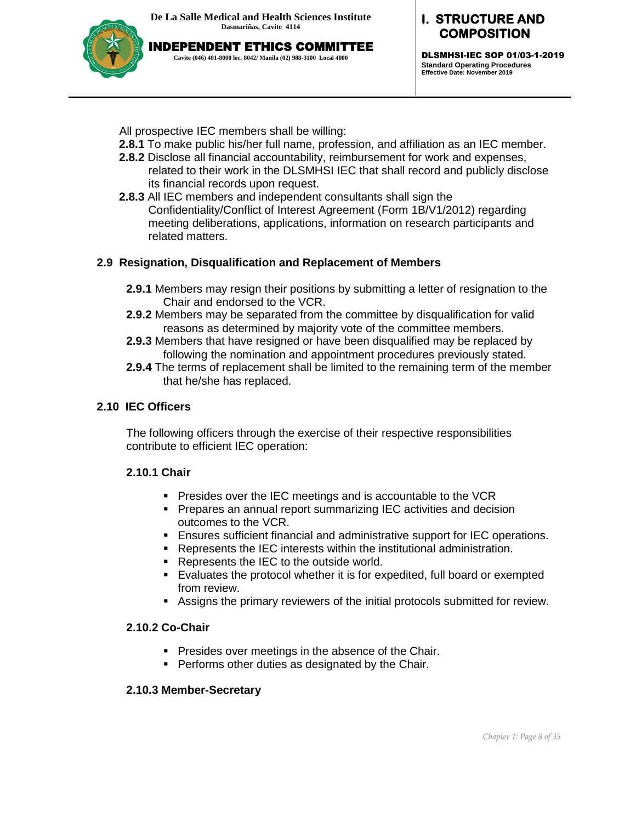

DLSMHSI-IEC SOP 01/03-1-2019 **Standard Operating Procedures Effective Date: November 2019**

All prospective IEC members shall be willing:

- **2.8.1** To make public his/her full name, profession, and affiliation as an IEC member.
- **2.8.2** Disclose all financial accountability, reimbursement for work and expenses, related to their work in the DLSMHSI IEC that shall record and publicly disclose its financial records upon request.
- **2.8.3** All IEC members and independent consultants shall sign the Confidentiality/Conflict of Interest Agreement (Form 1B/V1/2012) regarding meeting deliberations, applications, information on research participants and related matters.

### **2.9 Resignation, Disqualification and Replacement of Members**

- **2.9.1** Members may resign their positions by submitting a letter of resignation to the Chair and endorsed to the VCR.
- **2.9.2** Members may be separated from the committee by disqualification for valid reasons as determined by majority vote of the committee members.
- **2.9.3** Members that have resigned or have been disqualified may be replaced by following the nomination and appointment procedures previously stated.
- **2.9.4** The terms of replacement shall be limited to the remaining term of the member that he/she has replaced.

### **2.10 IEC Officers**

The following officers through the exercise of their respective responsibilities contribute to efficient IEC operation:

### **2.10.1 Chair**

- **Presides over the IEC meetings and is accountable to the VCR**
- **Prepares an annual report summarizing IEC activities and decision** outcomes to the VCR.
- Ensures sufficient financial and administrative support for IEC operations.
- Represents the IEC interests within the institutional administration.
- **Represents the IEC to the outside world.**
- Evaluates the protocol whether it is for expedited, full board or exempted from review.
- Assigns the primary reviewers of the initial protocols submitted for review.

### **2.10.2 Co-Chair**

- **Presides over meetings in the absence of the Chair.**
- **Performs other duties as designated by the Chair.**

### **2.10.3 Member-Secretary**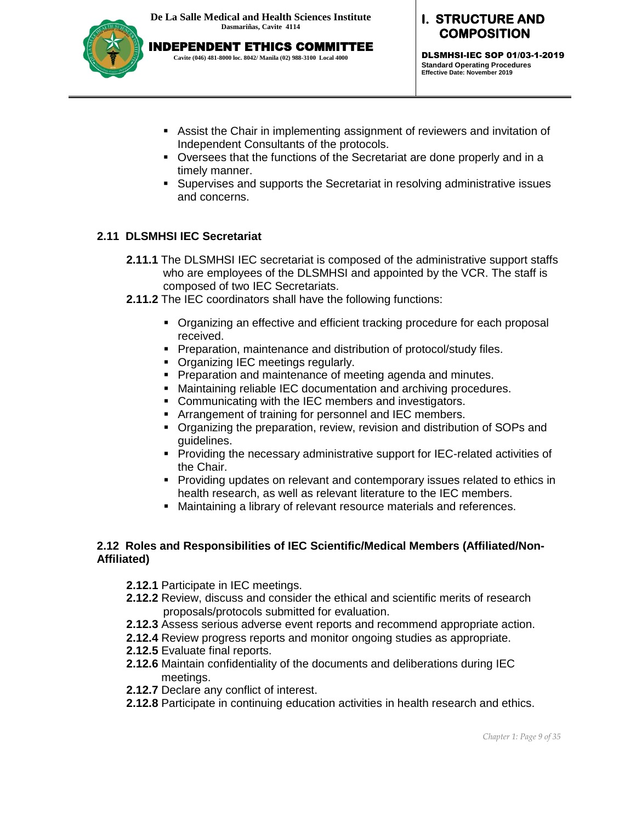

**I. STRUCTURE AND COMPOSITION** 

DLSMHSI-IEC SOP 01/03-1-2019 **Standard Operating Procedures Effective Date: November 2019**

- Assist the Chair in implementing assignment of reviewers and invitation of Independent Consultants of the protocols.
- Oversees that the functions of the Secretariat are done properly and in a timely manner.
- Supervises and supports the Secretariat in resolving administrative issues and concerns.

### **2.11 DLSMHSI IEC Secretariat**

- **2.11.1** The DLSMHSI IEC secretariat is composed of the administrative support staffs who are employees of the DLSMHSI and appointed by the VCR. The staff is composed of two IEC Secretariats.
- **2.11.2** The IEC coordinators shall have the following functions:
	- Organizing an effective and efficient tracking procedure for each proposal received.
	- **Preparation, maintenance and distribution of protocol/study files.**
	- **Organizing IEC meetings regularly.**
	- **Preparation and maintenance of meeting agenda and minutes.**
	- Maintaining reliable IEC documentation and archiving procedures.
	- Communicating with the IEC members and investigators.
	- **F** Arrangement of training for personnel and IEC members.
	- Organizing the preparation, review, revision and distribution of SOPs and guidelines.
	- **Providing the necessary administrative support for IEC-related activities of** the Chair.
	- **Providing updates on relevant and contemporary issues related to ethics in** health research, as well as relevant literature to the IEC members.
	- Maintaining a library of relevant resource materials and references.

#### **2.12 Roles and Responsibilities of IEC Scientific/Medical Members (Affiliated/Non-Affiliated)**

- **2.12.1** Participate in IEC meetings.
- **2.12.2** Review, discuss and consider the ethical and scientific merits of research proposals/protocols submitted for evaluation.
- **2.12.3** Assess serious adverse event reports and recommend appropriate action.
- **2.12.4** Review progress reports and monitor ongoing studies as appropriate.
- **2.12.5** Evaluate final reports.
- **2.12.6** Maintain confidentiality of the documents and deliberations during IEC meetings.
- **2.12.7** Declare any conflict of interest.
- **2.12.8** Participate in continuing education activities in health research and ethics.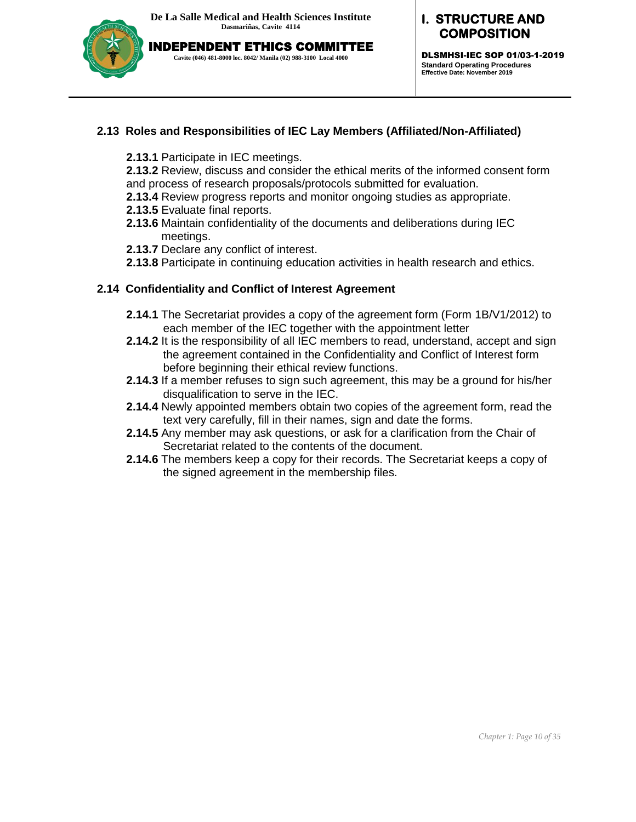

INDEPENDENT ETHICS COMMITTEE **Cavite (046) 481-8000 loc. 8042/ Manila (02) 988-3100 Local 4000**

# **I. STRUCTURE AND COMPOSITION**

DLSMHSI-IEC SOP 01/03-1-2019 **Standard Operating Procedures Effective Date: November 2019**

# **2.13 Roles and Responsibilities of IEC Lay Members (Affiliated/Non-Affiliated)**

**2.13.1** Participate in IEC meetings.

**2.13.2** Review, discuss and consider the ethical merits of the informed consent form and process of research proposals/protocols submitted for evaluation.

- **2.13.4** Review progress reports and monitor ongoing studies as appropriate.
- **2.13.5** Evaluate final reports.
- **2.13.6** Maintain confidentiality of the documents and deliberations during IEC meetings.
- **2.13.7** Declare any conflict of interest.
- **2.13.8** Participate in continuing education activities in health research and ethics.

#### **2.14 Confidentiality and Conflict of Interest Agreement**

- **2.14.1** The Secretariat provides a copy of the agreement form (Form 1B/V1/2012) to each member of the IEC together with the appointment letter
- **2.14.2** It is the responsibility of all IEC members to read, understand, accept and sign the agreement contained in the Confidentiality and Conflict of Interest form before beginning their ethical review functions.
- **2.14.3** If a member refuses to sign such agreement, this may be a ground for his/her disqualification to serve in the IEC.
- **2.14.4** Newly appointed members obtain two copies of the agreement form, read the text very carefully, fill in their names, sign and date the forms.
- **2.14.5** Any member may ask questions, or ask for a clarification from the Chair of Secretariat related to the contents of the document.
- **2.14.6** The members keep a copy for their records. The Secretariat keeps a copy of the signed agreement in the membership files.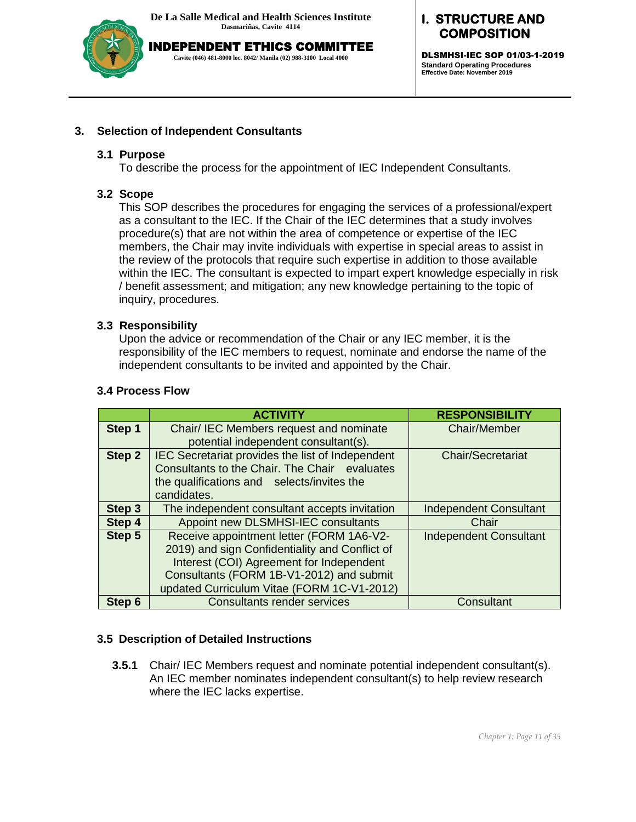

INDEPENDENT ETHICS COMMITTEE **Cavite (046) 481-8000 loc. 8042/ Manila (02) 988-3100 Local 4000**

# **I. STRUCTURE AND COMPOSITION**

DLSMHSI-IEC SOP 01/03-1-2019 **Standard Operating Procedures Effective Date: November 2019**

#### **3. Selection of Independent Consultants**

#### **3.1 Purpose**

To describe the process for the appointment of IEC Independent Consultants.

#### **3.2 Scope**

This SOP describes the procedures for engaging the services of a professional/expert as a consultant to the IEC. If the Chair of the IEC determines that a study involves procedure(s) that are not within the area of competence or expertise of the IEC members, the Chair may invite individuals with expertise in special areas to assist in the review of the protocols that require such expertise in addition to those available within the IEC. The consultant is expected to impart expert knowledge especially in risk / benefit assessment; and mitigation; any new knowledge pertaining to the topic of inquiry, procedures.

#### **3.3 Responsibility**

Upon the advice or recommendation of the Chair or any IEC member, it is the responsibility of the IEC members to request, nominate and endorse the name of the independent consultants to be invited and appointed by the Chair.

|        | <b>ACTIVITY</b>                                                                                                                                                                                                                  | <b>RESPONSIBILITY</b>         |
|--------|----------------------------------------------------------------------------------------------------------------------------------------------------------------------------------------------------------------------------------|-------------------------------|
| Step 1 | Chair/ IEC Members request and nominate<br>potential independent consultant(s).                                                                                                                                                  | <b>Chair/Member</b>           |
| Step 2 | IEC Secretariat provides the list of Independent<br>Consultants to the Chair. The Chair evaluates<br>the qualifications and selects/invites the<br>candidates.                                                                   | <b>Chair/Secretariat</b>      |
| Step 3 | The independent consultant accepts invitation                                                                                                                                                                                    | <b>Independent Consultant</b> |
| Step 4 | Appoint new DLSMHSI-IEC consultants                                                                                                                                                                                              | Chair                         |
| Step 5 | Receive appointment letter (FORM 1A6-V2-<br>2019) and sign Confidentiality and Conflict of<br>Interest (COI) Agreement for Independent<br>Consultants (FORM 1B-V1-2012) and submit<br>updated Curriculum Vitae (FORM 1C-V1-2012) | <b>Independent Consultant</b> |
| Step 6 | <b>Consultants render services</b>                                                                                                                                                                                               | Consultant                    |

#### **3.4 Process Flow**

#### **3.5 Description of Detailed Instructions**

**3.5.1** Chair/ IEC Members request and nominate potential independent consultant(s). An IEC member nominates independent consultant(s) to help review research where the IEC lacks expertise.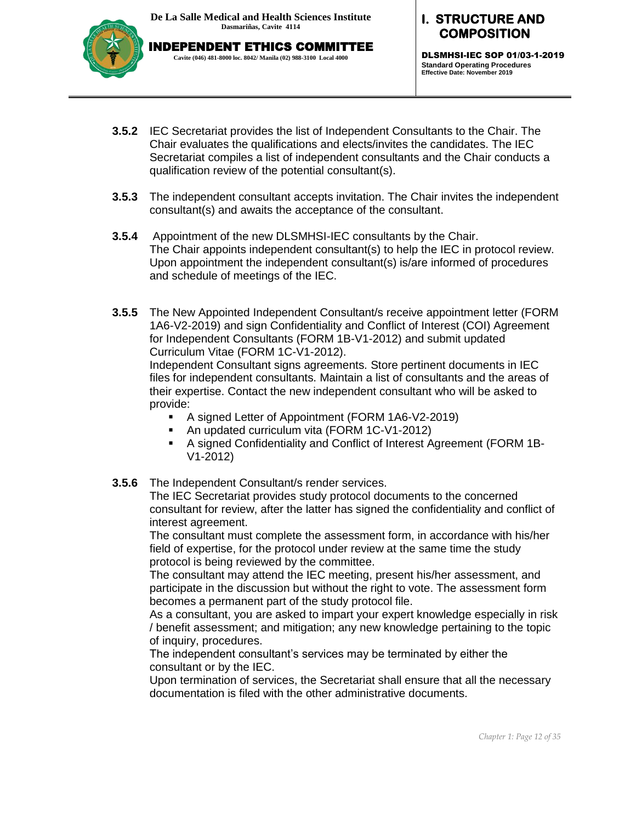

**I. STRUCTURE AND COMPOSITION** 

DLSMHSI-IEC SOP 01/03-1-2019 **Standard Operating Procedures Effective Date: November 2019**

- **3.5.2** IEC Secretariat provides the list of Independent Consultants to the Chair. The Chair evaluates the qualifications and elects/invites the candidates. The IEC Secretariat compiles a list of independent consultants and the Chair conducts a qualification review of the potential consultant(s).
- **3.5.3** The independent consultant accepts invitation. The Chair invites the independent consultant(s) and awaits the acceptance of the consultant.
- **3.5.4** Appointment of the new DLSMHSI-IEC consultants by the Chair. The Chair appoints independent consultant(s) to help the IEC in protocol review. Upon appointment the independent consultant(s) is/are informed of procedures and schedule of meetings of the IEC.
- **3.5.5** The New Appointed Independent Consultant/s receive appointment letter (FORM 1A6-V2-2019) and sign Confidentiality and Conflict of Interest (COI) Agreement for Independent Consultants (FORM 1B-V1-2012) and submit updated Curriculum Vitae (FORM 1C-V1-2012).

Independent Consultant signs agreements. Store pertinent documents in IEC files for independent consultants. Maintain a list of consultants and the areas of their expertise. Contact the new independent consultant who will be asked to provide:

- A signed Letter of Appointment (FORM 1A6-V2-2019)
- An updated curriculum vita (FORM 1C-V1-2012)
- A signed Confidentiality and Conflict of Interest Agreement (FORM 1B-V1-2012)
- **3.5.6** The Independent Consultant/s render services.

The IEC Secretariat provides study protocol documents to the concerned consultant for review, after the latter has signed the confidentiality and conflict of interest agreement.

The consultant must complete the assessment form, in accordance with his/her field of expertise, for the protocol under review at the same time the study protocol is being reviewed by the committee.

The consultant may attend the IEC meeting, present his/her assessment, and participate in the discussion but without the right to vote. The assessment form becomes a permanent part of the study protocol file.

As a consultant, you are asked to impart your expert knowledge especially in risk / benefit assessment; and mitigation; any new knowledge pertaining to the topic of inquiry, procedures.

The independent consultant's services may be terminated by either the consultant or by the IEC.

Upon termination of services, the Secretariat shall ensure that all the necessary documentation is filed with the other administrative documents.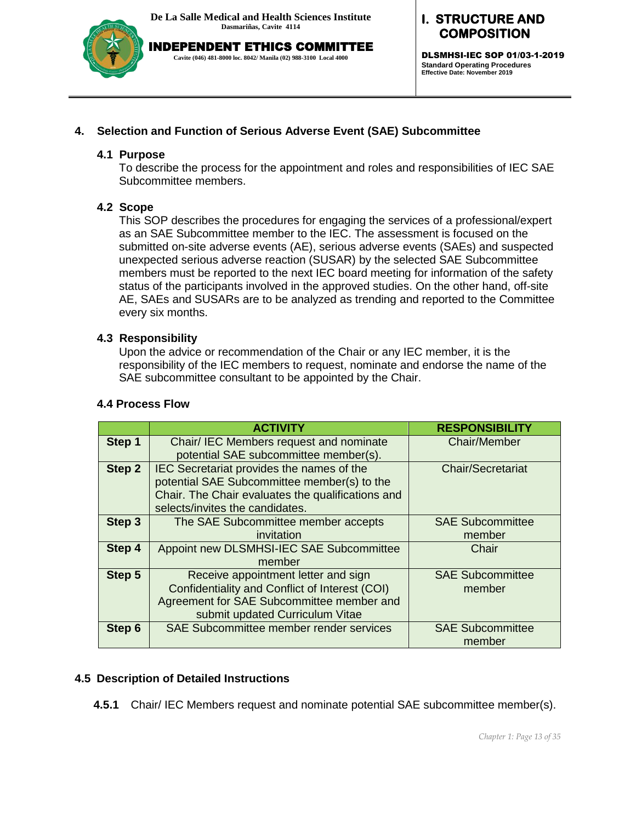

INDEPENDENT ETHICS COMMITTEE **Cavite (046) 481-8000 loc. 8042/ Manila (02) 988-3100 Local 4000**

# **I. STRUCTURE AND COMPOSITION**

DLSMHSI-IEC SOP 01/03-1-2019 **Standard Operating Procedures Effective Date: November 2019**

# **4. Selection and Function of Serious Adverse Event (SAE) Subcommittee**

#### **4.1 Purpose**

To describe the process for the appointment and roles and responsibilities of IEC SAE Subcommittee members.

### **4.2 Scope**

This SOP describes the procedures for engaging the services of a professional/expert as an SAE Subcommittee member to the IEC. The assessment is focused on the submitted on-site adverse events (AE), serious adverse events (SAEs) and suspected unexpected serious adverse reaction (SUSAR) by the selected SAE Subcommittee members must be reported to the next IEC board meeting for information of the safety status of the participants involved in the approved studies. On the other hand, off-site AE, SAEs and SUSARs are to be analyzed as trending and reported to the Committee every six months.

### **4.3 Responsibility**

Upon the advice or recommendation of the Chair or any IEC member, it is the responsibility of the IEC members to request, nominate and endorse the name of the SAE subcommittee consultant to be appointed by the Chair.

#### **4.4 Process Flow**

|               | <b>ACTIVITY</b>                                                                                                                                                                  | <b>RESPONSIBILITY</b>             |
|---------------|----------------------------------------------------------------------------------------------------------------------------------------------------------------------------------|-----------------------------------|
| Step 1        | Chair/ IEC Members request and nominate<br>potential SAE subcommittee member(s).                                                                                                 | Chair/Member                      |
| Step 2        | IEC Secretariat provides the names of the<br>potential SAE Subcommittee member(s) to the<br>Chair. The Chair evaluates the qualifications and<br>selects/invites the candidates. | <b>Chair/Secretariat</b>          |
| Step 3        | The SAE Subcommittee member accepts<br>invitation                                                                                                                                | <b>SAE Subcommittee</b><br>member |
| Step 4        | Appoint new DLSMHSI-IEC SAE Subcommittee<br>member                                                                                                                               | Chair                             |
| Step 5        | Receive appointment letter and sign<br>Confidentiality and Conflict of Interest (COI)<br>Agreement for SAE Subcommittee member and<br>submit updated Curriculum Vitae            | <b>SAE Subcommittee</b><br>member |
| <b>Step 6</b> | SAE Subcommittee member render services                                                                                                                                          | <b>SAE Subcommittee</b><br>member |

### **4.5 Description of Detailed Instructions**

**4.5.1** Chair/ IEC Members request and nominate potential SAE subcommittee member(s).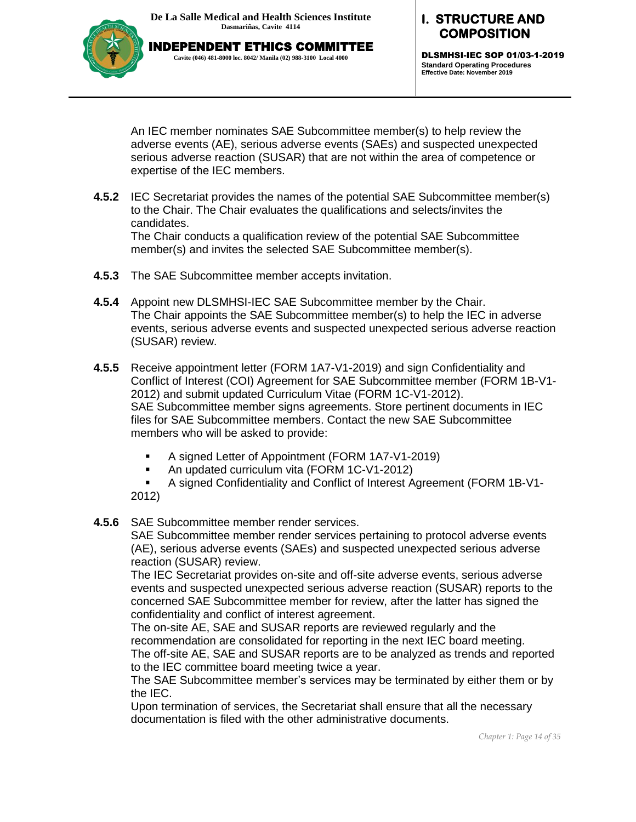

#### **I. STRUCTURE AND COMPOSITION**

DLSMHSI-IEC SOP 01/03-1-2019 **Standard Operating Procedures Effective Date: November 2019**

An IEC member nominates SAE Subcommittee member(s) to help review the adverse events (AE), serious adverse events (SAEs) and suspected unexpected serious adverse reaction (SUSAR) that are not within the area of competence or expertise of the IEC members.

**4.5.2** IEC Secretariat provides the names of the potential SAE Subcommittee member(s) to the Chair. The Chair evaluates the qualifications and selects/invites the candidates.

The Chair conducts a qualification review of the potential SAE Subcommittee member(s) and invites the selected SAE Subcommittee member(s).

- **4.5.3** The SAE Subcommittee member accepts invitation.
- **4.5.4** Appoint new DLSMHSI-IEC SAE Subcommittee member by the Chair. The Chair appoints the SAE Subcommittee member(s) to help the IEC in adverse events, serious adverse events and suspected unexpected serious adverse reaction (SUSAR) review.
- **4.5.5** Receive appointment letter (FORM 1A7-V1-2019) and sign Confidentiality and Conflict of Interest (COI) Agreement for SAE Subcommittee member (FORM 1B-V1- 2012) and submit updated Curriculum Vitae (FORM 1C-V1-2012). SAE Subcommittee member signs agreements. Store pertinent documents in IEC files for SAE Subcommittee members. Contact the new SAE Subcommittee members who will be asked to provide:
	- A signed Letter of Appointment (FORM 1A7-V1-2019)
	- An updated curriculum vita (FORM 1C-V1-2012)
	- A signed Confidentiality and Conflict of Interest Agreement (FORM 1B-V1- 2012)
- **4.5.6** SAE Subcommittee member render services.

SAE Subcommittee member render services pertaining to protocol adverse events (AE), serious adverse events (SAEs) and suspected unexpected serious adverse reaction (SUSAR) review.

The IEC Secretariat provides on-site and off-site adverse events, serious adverse events and suspected unexpected serious adverse reaction (SUSAR) reports to the concerned SAE Subcommittee member for review, after the latter has signed the confidentiality and conflict of interest agreement.

The on-site AE, SAE and SUSAR reports are reviewed regularly and the recommendation are consolidated for reporting in the next IEC board meeting. The off-site AE, SAE and SUSAR reports are to be analyzed as trends and reported to the IEC committee board meeting twice a year.

The SAE Subcommittee member's services may be terminated by either them or by the IEC.

Upon termination of services, the Secretariat shall ensure that all the necessary documentation is filed with the other administrative documents.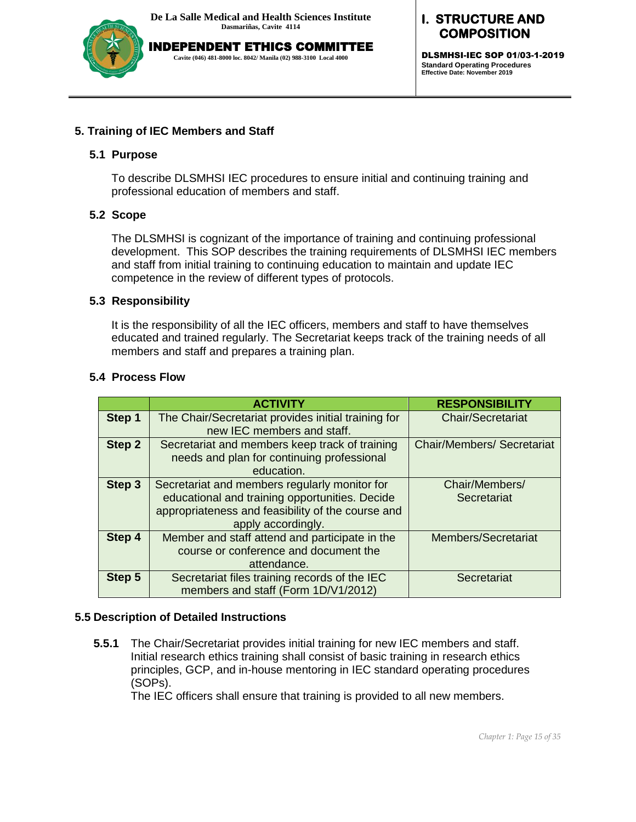

INDEPENDENT ETHICS COMMITTEE **Cavite (046) 481-8000 loc. 8042/ Manila (02) 988-3100 Local 4000**

**I. STRUCTURE AND COMPOSITION** 

DLSMHSI-IEC SOP 01/03-1-2019 **Standard Operating Procedures Effective Date: November 2019**

#### **5. Training of IEC Members and Staff**

#### **5.1 Purpose**

To describe DLSMHSI IEC procedures to ensure initial and continuing training and professional education of members and staff.

#### **5.2 Scope**

The DLSMHSI is cognizant of the importance of training and continuing professional development. This SOP describes the training requirements of DLSMHSI IEC members and staff from initial training to continuing education to maintain and update IEC competence in the review of different types of protocols.

#### **5.3 Responsibility**

It is the responsibility of all the IEC officers, members and staff to have themselves educated and trained regularly. The Secretariat keeps track of the training needs of all members and staff and prepares a training plan.

#### **5.4 Process Flow**

|        | <b>ACTIVITY</b>                                                                                                                                                            | <b>RESPONSIBILITY</b>             |
|--------|----------------------------------------------------------------------------------------------------------------------------------------------------------------------------|-----------------------------------|
| Step 1 | The Chair/Secretariat provides initial training for<br>new IEC members and staff.                                                                                          | <b>Chair/Secretariat</b>          |
| Step 2 | Secretariat and members keep track of training<br>needs and plan for continuing professional<br>education.                                                                 | <b>Chair/Members/ Secretariat</b> |
| Step 3 | Secretariat and members regularly monitor for<br>educational and training opportunities. Decide<br>appropriateness and feasibility of the course and<br>apply accordingly. | Chair/Members/<br>Secretariat     |
| Step 4 | Member and staff attend and participate in the<br>course or conference and document the<br>attendance.                                                                     | Members/Secretariat               |
| Step 5 | Secretariat files training records of the IEC<br>members and staff (Form 1D/V1/2012)                                                                                       | Secretariat                       |

#### **5.5 Description of Detailed Instructions**

**5.5.1** The Chair/Secretariat provides initial training for new IEC members and staff. Initial research ethics training shall consist of basic training in research ethics principles, GCP, and in-house mentoring in IEC standard operating procedures (SOPs).

The IEC officers shall ensure that training is provided to all new members.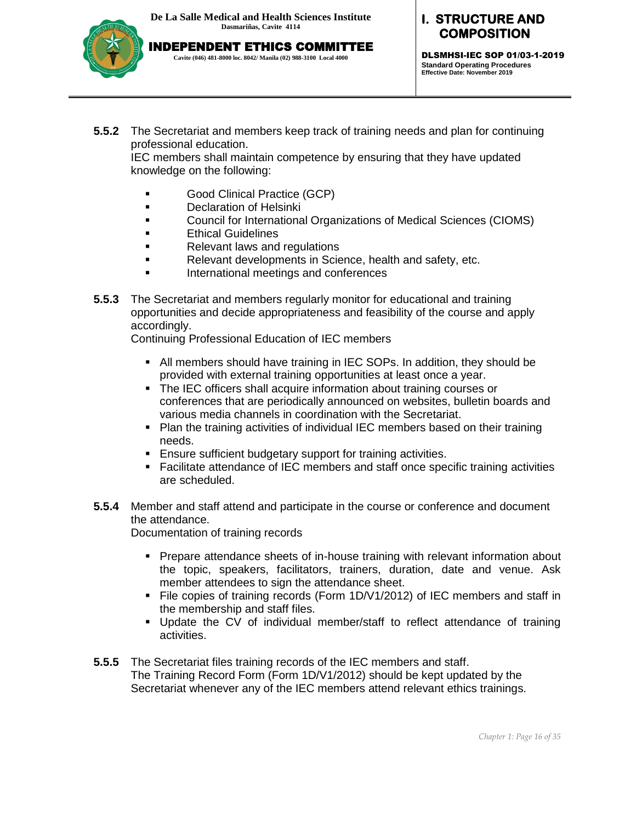INDEPENDENT ETHICS COMMITTEE **Cavite (046) 481-8000 loc. 8042/ Manila (02) 988-3100 Local 4000**



**I. STRUCTURE AND COMPOSITION** 

DLSMHSI-IEC SOP 01/03-1-2019 **Standard Operating Procedures Effective Date: November 2019**

**5.5.2** The Secretariat and members keep track of training needs and plan for continuing professional education.

IEC members shall maintain competence by ensuring that they have updated knowledge on the following:

- Good Clinical Practice (GCP)
- **Declaration of Helsinki**
- Council for International Organizations of Medical Sciences (CIOMS)
- **Ethical Guidelines**
- Relevant laws and regulations
- Relevant developments in Science, health and safety, etc.
- International meetings and conferences
- **5.5.3** The Secretariat and members regularly monitor for educational and training opportunities and decide appropriateness and feasibility of the course and apply accordingly.

Continuing Professional Education of IEC members

- All members should have training in IEC SOPs. In addition, they should be provided with external training opportunities at least once a year.
- The IEC officers shall acquire information about training courses or conferences that are periodically announced on websites, bulletin boards and various media channels in coordination with the Secretariat.
- Plan the training activities of individual IEC members based on their training needs.
- Ensure sufficient budgetary support for training activities.
- Facilitate attendance of IEC members and staff once specific training activities are scheduled.
- **5.5.4** Member and staff attend and participate in the course or conference and document the attendance.

Documentation of training records

- **Prepare attendance sheets of in-house training with relevant information about** the topic, speakers, facilitators, trainers, duration, date and venue. Ask member attendees to sign the attendance sheet.
- File copies of training records (Form 1D/V1/2012) of IEC members and staff in the membership and staff files.
- Update the CV of individual member/staff to reflect attendance of training activities.
- **5.5.5** The Secretariat files training records of the IEC members and staff. The Training Record Form (Form 1D/V1/2012) should be kept updated by the Secretariat whenever any of the IEC members attend relevant ethics trainings.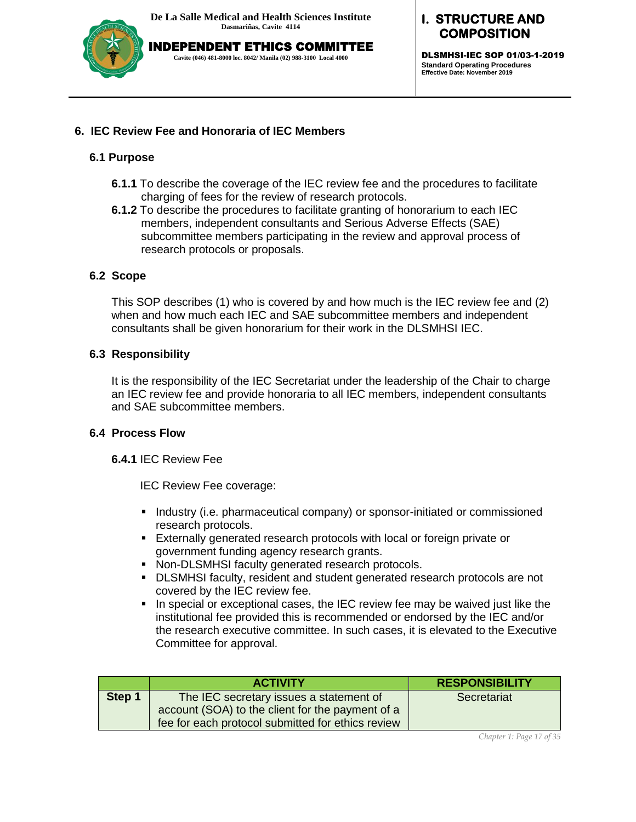

INDEPENDENT ETHICS COMMITTEE **Cavite (046) 481-8000 loc. 8042/ Manila (02) 988-3100 Local 4000**

# **I. STRUCTURE AND COMPOSITION**

DLSMHSI-IEC SOP 01/03-1-2019 **Standard Operating Procedures Effective Date: November 2019**

### **6. IEC Review Fee and Honoraria of IEC Members**

### **6.1 Purpose**

- **6.1.1** To describe the coverage of the IEC review fee and the procedures to facilitate charging of fees for the review of research protocols.
- **6.1.2** To describe the procedures to facilitate granting of honorarium to each IEC members, independent consultants and Serious Adverse Effects (SAE) subcommittee members participating in the review and approval process of research protocols or proposals.

# **6.2 Scope**

This SOP describes (1) who is covered by and how much is the IEC review fee and (2) when and how much each IEC and SAE subcommittee members and independent consultants shall be given honorarium for their work in the DLSMHSI IEC.

### **6.3 Responsibility**

It is the responsibility of the IEC Secretariat under the leadership of the Chair to charge an IEC review fee and provide honoraria to all IEC members, independent consultants and SAE subcommittee members.

### **6.4 Process Flow**

**6.4.1** IEC Review Fee

IEC Review Fee coverage:

- **Industry (i.e. pharmaceutical company) or sponsor-initiated or commissioned** research protocols.
- Externally generated research protocols with local or foreign private or government funding agency research grants.
- Non-DLSMHSI faculty generated research protocols.
- DLSMHSI faculty, resident and student generated research protocols are not covered by the IEC review fee.
- In special or exceptional cases, the IEC review fee may be waived just like the institutional fee provided this is recommended or endorsed by the IEC and/or the research executive committee. In such cases, it is elevated to the Executive Committee for approval.

|        | <b>ACTIVITY</b>                                   | <b>RESPONSIBILITY</b> |
|--------|---------------------------------------------------|-----------------------|
| Step 1 | The IEC secretary issues a statement of           | Secretariat           |
|        | account (SOA) to the client for the payment of a  |                       |
|        | fee for each protocol submitted for ethics review |                       |

*Chapter 1: Page 17 of 35*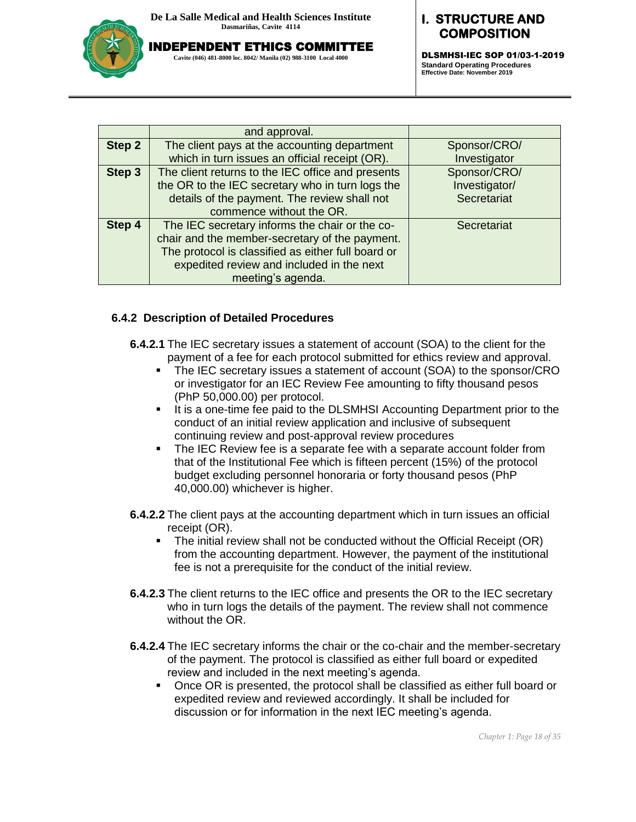

INDEPENDENT ETHICS COMMITTEE **Cavite (046) 481-8000 loc. 8042/ Manila (02) 988-3100 Local 4000**

# **I. STRUCTURE AND COMPOSITION**

DLSMHSI-IEC SOP 01/03-1-2019 **Standard Operating Procedures Effective Date: November 2019**

|        | and approval.                                      |               |
|--------|----------------------------------------------------|---------------|
| Step 2 | The client pays at the accounting department       | Sponsor/CRO/  |
|        | which in turn issues an official receipt (OR).     | Investigator  |
| Step 3 | The client returns to the IEC office and presents  | Sponsor/CRO/  |
|        | the OR to the IEC secretary who in turn logs the   | Investigator/ |
|        | details of the payment. The review shall not       | Secretariat   |
|        | commence without the OR.                           |               |
| Step 4 | The IEC secretary informs the chair or the co-     | Secretariat   |
|        | chair and the member-secretary of the payment.     |               |
|        | The protocol is classified as either full board or |               |
|        | expedited review and included in the next          |               |
|        | meeting's agenda.                                  |               |

#### **6.4.2 Description of Detailed Procedures**

- **6.4.2.1** The IEC secretary issues a statement of account (SOA) to the client for the payment of a fee for each protocol submitted for ethics review and approval.
	- The IEC secretary issues a statement of account (SOA) to the sponsor/CRO or investigator for an IEC Review Fee amounting to fifty thousand pesos (PhP 50,000.00) per protocol.
	- It is a one-time fee paid to the DLSMHSI Accounting Department prior to the conduct of an initial review application and inclusive of subsequent continuing review and post-approval review procedures
	- The IEC Review fee is a separate fee with a separate account folder from that of the Institutional Fee which is fifteen percent (15%) of the protocol budget excluding personnel honoraria or forty thousand pesos (PhP 40,000.00) whichever is higher.
- **6.4.2.2** The client pays at the accounting department which in turn issues an official receipt (OR).
	- The initial review shall not be conducted without the Official Receipt (OR) from the accounting department. However, the payment of the institutional fee is not a prerequisite for the conduct of the initial review.
- **6.4.2.3** The client returns to the IEC office and presents the OR to the IEC secretary who in turn logs the details of the payment. The review shall not commence without the OR.
- **6.4.2.4** The IEC secretary informs the chair or the co-chair and the member-secretary of the payment. The protocol is classified as either full board or expedited review and included in the next meeting's agenda.
	- Once OR is presented, the protocol shall be classified as either full board or expedited review and reviewed accordingly. It shall be included for discussion or for information in the next IEC meeting's agenda.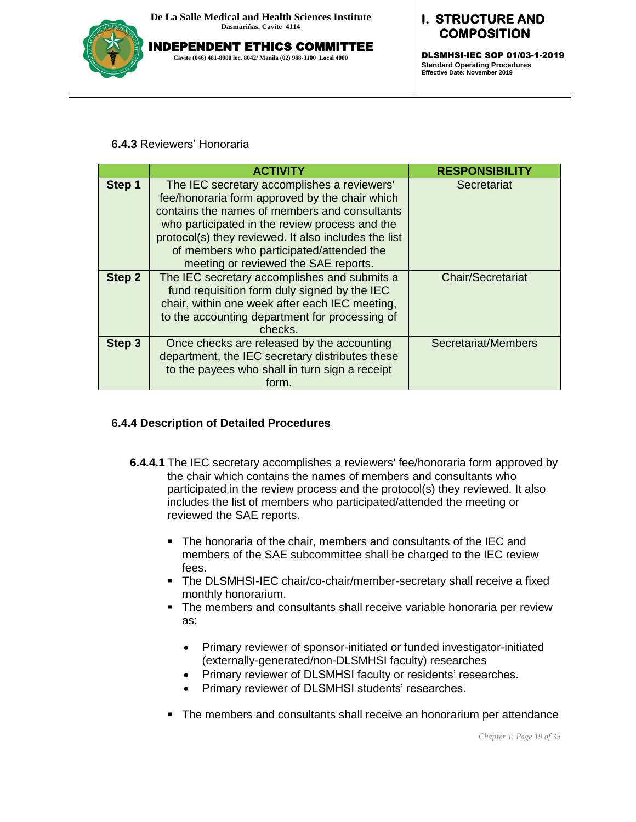

INDEPENDENT ETHICS COMMITTEE **Cavite (046) 481-8000 loc. 8042/ Manila (02) 988-3100 Local 4000**

# **I. STRUCTURE AND COMPOSITION**

DLSMHSI-IEC SOP 01/03-1-2019 **Standard Operating Procedures Effective Date: November 2019**

#### **6.4.3** Reviewers' Honoraria

|               | <b>ACTIVITY</b>                                                                                                                                                                                                                                                                                                                              | <b>RESPONSIBILITY</b>    |
|---------------|----------------------------------------------------------------------------------------------------------------------------------------------------------------------------------------------------------------------------------------------------------------------------------------------------------------------------------------------|--------------------------|
| Step 1        | The IEC secretary accomplishes a reviewers'<br>fee/honoraria form approved by the chair which<br>contains the names of members and consultants<br>who participated in the review process and the<br>protocol(s) they reviewed. It also includes the list<br>of members who participated/attended the<br>meeting or reviewed the SAE reports. | Secretariat              |
| <b>Step 2</b> | The IEC secretary accomplishes and submits a<br>fund requisition form duly signed by the IEC<br>chair, within one week after each IEC meeting,<br>to the accounting department for processing of<br>checks.                                                                                                                                  | <b>Chair/Secretariat</b> |
| Step 3        | Once checks are released by the accounting<br>department, the IEC secretary distributes these<br>to the payees who shall in turn sign a receipt<br>form.                                                                                                                                                                                     | Secretariat/Members      |

### **6.4.4 Description of Detailed Procedures**

- **6.4.4.1** The IEC secretary accomplishes a reviewers' fee/honoraria form approved by the chair which contains the names of members and consultants who participated in the review process and the protocol(s) they reviewed. It also includes the list of members who participated/attended the meeting or reviewed the SAE reports.
	- The honoraria of the chair, members and consultants of the IEC and members of the SAE subcommittee shall be charged to the IEC review fees.
	- The DLSMHSI-IEC chair/co-chair/member-secretary shall receive a fixed monthly honorarium.
	- The members and consultants shall receive variable honoraria per review as:
		- Primary reviewer of sponsor-initiated or funded investigator-initiated (externally-generated/non-DLSMHSI faculty) researches
		- Primary reviewer of DLSMHSI faculty or residents' researches.
		- Primary reviewer of DLSMHSI students' researches.
	- The members and consultants shall receive an honorarium per attendance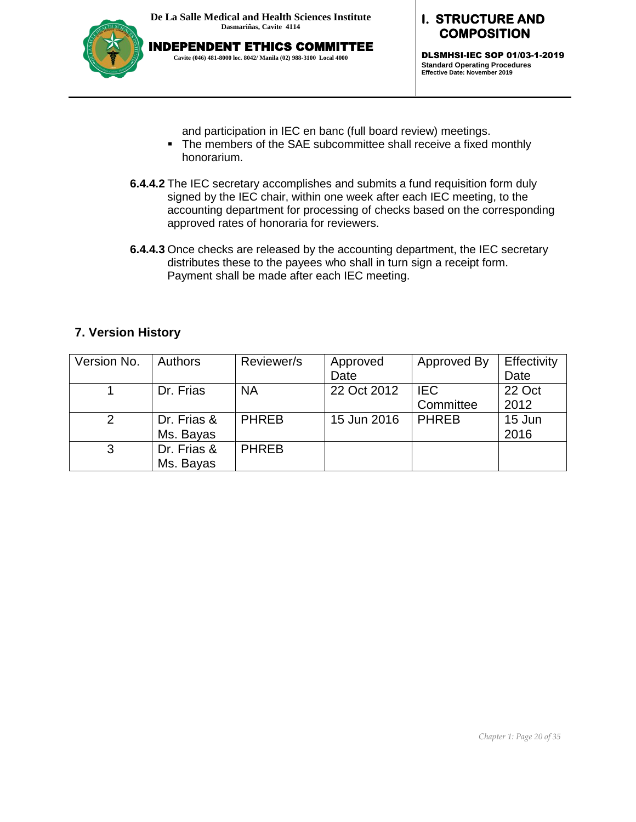

**I. STRUCTURE AND COMPOSITION** 

DLSMHSI-IEC SOP 01/03-1-2019 **Standard Operating Procedures Effective Date: November 2019**

and participation in IEC en banc (full board review) meetings.

- The members of the SAE subcommittee shall receive a fixed monthly honorarium.
- **6.4.4.2** The IEC secretary accomplishes and submits a fund requisition form duly signed by the IEC chair, within one week after each IEC meeting, to the accounting department for processing of checks based on the corresponding approved rates of honoraria for reviewers.
- **6.4.4.3** Once checks are released by the accounting department, the IEC secretary distributes these to the payees who shall in turn sign a receipt form. Payment shall be made after each IEC meeting.

### **7. Version History**

| Version No. | <b>Authors</b> | Reviewer/s   | Approved    | Approved By  | Effectivity |
|-------------|----------------|--------------|-------------|--------------|-------------|
|             |                |              | Date        |              | Date        |
|             | Dr. Frias      | <b>NA</b>    | 22 Oct 2012 | <b>IEC</b>   | 22 Oct      |
|             |                |              |             | Committee    | 2012        |
|             | Dr. Frias &    | <b>PHREB</b> | 15 Jun 2016 | <b>PHREB</b> | 15 Jun      |
|             | Ms. Bayas      |              |             |              | 2016        |
| 3           | Dr. Frias &    | <b>PHREB</b> |             |              |             |
|             | Ms. Bayas      |              |             |              |             |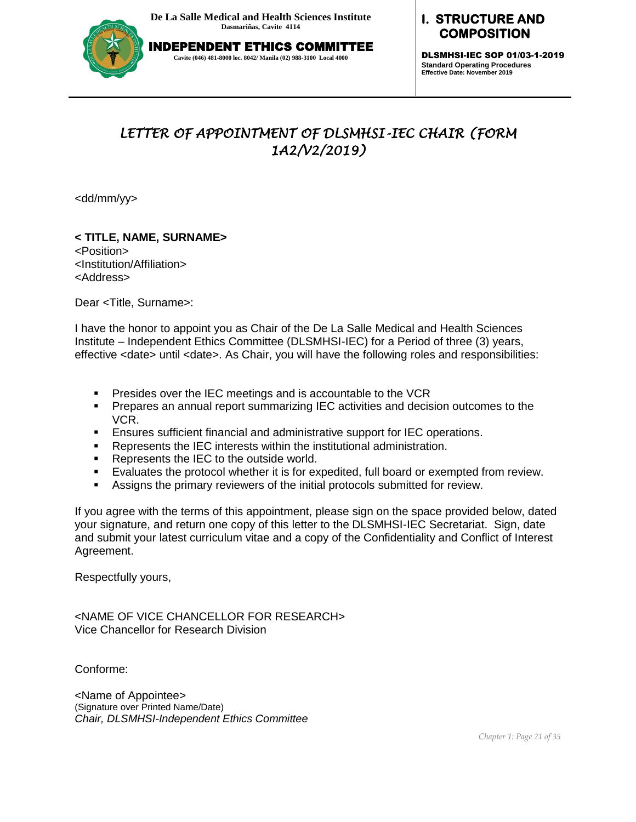

# **I. STRUCTURE AND COMPOSITION**

DLSMHSI-IEC SOP 01/03-1-2019 **Standard Operating Procedures Effective Date: November 2019**

# *LETTER OF APPOINTMENT OF DLSMHSI-IEC CHAIR (FORM 1A2/V2/2019)*

<dd/mm/yy>

**< TITLE, NAME, SURNAME>**  <Position> <Institution/Affiliation> <Address>

Dear <Title, Surname>:

I have the honor to appoint you as Chair of the De La Salle Medical and Health Sciences Institute – Independent Ethics Committee (DLSMHSI-IEC) for a Period of three (3) years, effective <date> until <date>. As Chair, you will have the following roles and responsibilities:

- **Presides over the IEC meetings and is accountable to the VCR**
- Prepares an annual report summarizing IEC activities and decision outcomes to the VCR.
- Ensures sufficient financial and administrative support for IEC operations.
- Represents the IEC interests within the institutional administration.
- **Represents the IEC to the outside world.**
- Evaluates the protocol whether it is for expedited, full board or exempted from review.
- Assigns the primary reviewers of the initial protocols submitted for review.

If you agree with the terms of this appointment, please sign on the space provided below, dated your signature, and return one copy of this letter to the DLSMHSI-IEC Secretariat. Sign, date and submit your latest curriculum vitae and a copy of the Confidentiality and Conflict of Interest Agreement.

Respectfully yours,

<NAME OF VICE CHANCELLOR FOR RESEARCH> Vice Chancellor for Research Division

Conforme:

<Name of Appointee> (Signature over Printed Name/Date) *Chair, DLSMHSI-Independent Ethics Committee*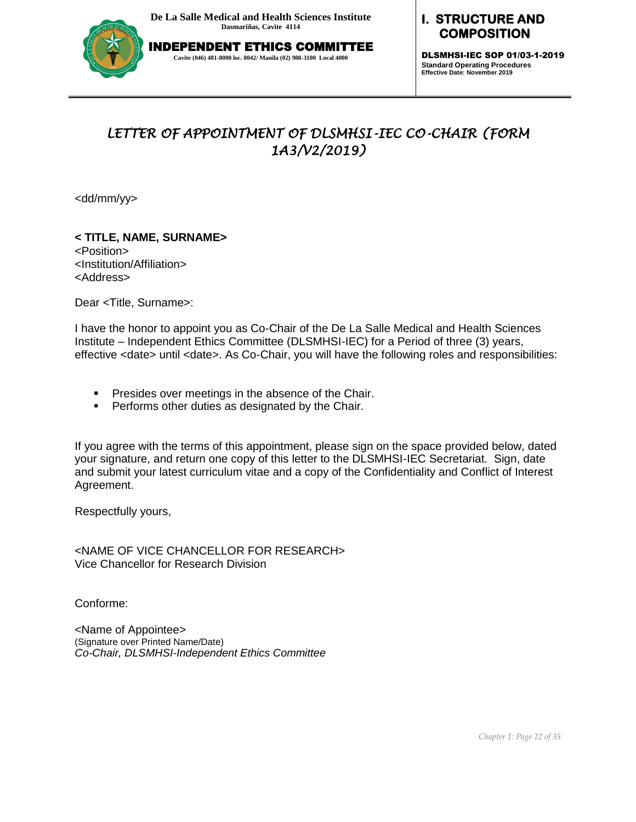

### **I. STRUCTURE AND COMPOSITION**

DLSMHSI-IEC SOP 01/03-1-2019 **Standard Operating Procedures Effective Date: November 2019**

# *LETTER OF APPOINTMENT OF DLSMHSI-IEC CO-CHAIR (FORM 1A3/V2/2019)*

<dd/mm/yy>

**< TITLE, NAME, SURNAME>**  <Position> <Institution/Affiliation> <Address>

Dear <Title, Surname>:

I have the honor to appoint you as Co-Chair of the De La Salle Medical and Health Sciences Institute – Independent Ethics Committee (DLSMHSI-IEC) for a Period of three (3) years, effective <date> until <date>. As Co-Chair, you will have the following roles and responsibilities:

- **Presides over meetings in the absence of the Chair.**
- **Performs other duties as designated by the Chair.**

If you agree with the terms of this appointment, please sign on the space provided below, dated your signature, and return one copy of this letter to the DLSMHSI-IEC Secretariat. Sign, date and submit your latest curriculum vitae and a copy of the Confidentiality and Conflict of Interest Agreement.

Respectfully yours,

<NAME OF VICE CHANCELLOR FOR RESEARCH> Vice Chancellor for Research Division

Conforme:

<Name of Appointee> (Signature over Printed Name/Date) *Co-Chair, DLSMHSI-Independent Ethics Committee*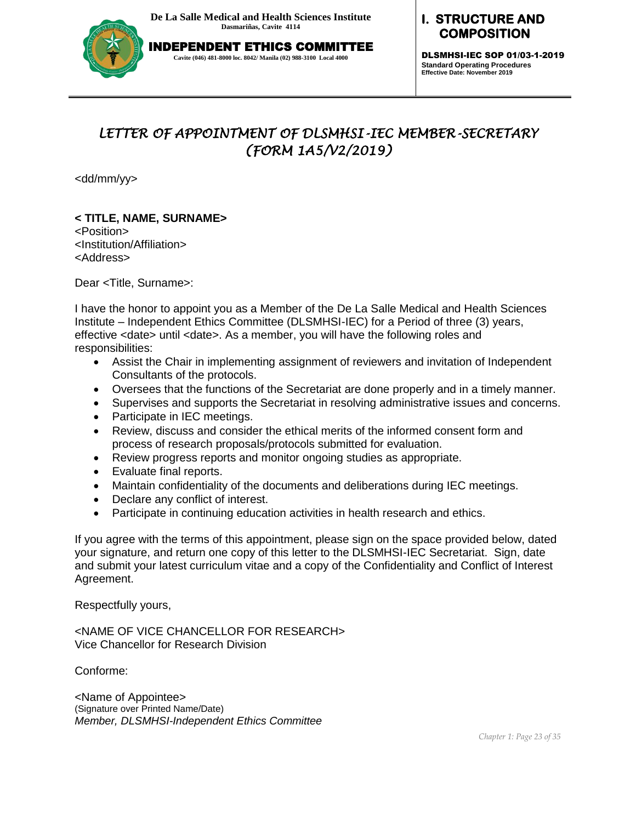

# **I. STRUCTURE AND COMPOSITION**

DLSMHSI-IEC SOP 01/03-1-2019 **Standard Operating Procedures Effective Date: November 2019**

# *LETTER OF APPOINTMENT OF DLSMHSI-IEC MEMBER-SECRETARY (FORM 1A5/V2/2019)*

<dd/mm/yy>

# **< TITLE, NAME, SURNAME>**

<Position> <Institution/Affiliation> <Address>

Dear <Title, Surname>:

I have the honor to appoint you as a Member of the De La Salle Medical and Health Sciences Institute – Independent Ethics Committee (DLSMHSI-IEC) for a Period of three (3) years, effective <date> until <date>. As a member, you will have the following roles and responsibilities:

- Assist the Chair in implementing assignment of reviewers and invitation of Independent Consultants of the protocols.
- Oversees that the functions of the Secretariat are done properly and in a timely manner.
- Supervises and supports the Secretariat in resolving administrative issues and concerns.
- Participate in IEC meetings.
- Review, discuss and consider the ethical merits of the informed consent form and process of research proposals/protocols submitted for evaluation.
- Review progress reports and monitor ongoing studies as appropriate.
- Evaluate final reports.
- Maintain confidentiality of the documents and deliberations during IEC meetings.
- Declare any conflict of interest.
- Participate in continuing education activities in health research and ethics.

If you agree with the terms of this appointment, please sign on the space provided below, dated your signature, and return one copy of this letter to the DLSMHSI-IEC Secretariat. Sign, date and submit your latest curriculum vitae and a copy of the Confidentiality and Conflict of Interest Agreement.

Respectfully yours,

<NAME OF VICE CHANCELLOR FOR RESEARCH> Vice Chancellor for Research Division

Conforme:

<Name of Appointee> (Signature over Printed Name/Date) *Member, DLSMHSI-Independent Ethics Committee*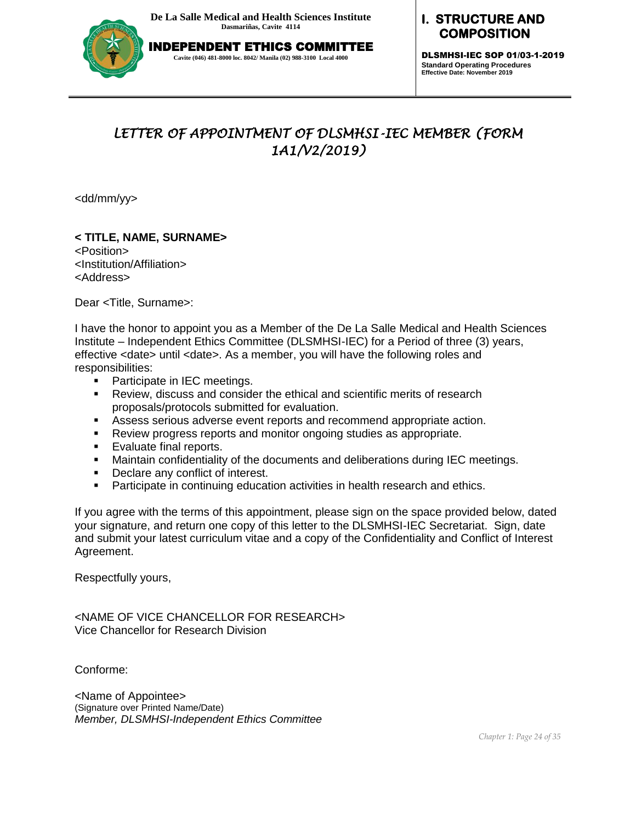

# **I. STRUCTURE AND COMPOSITION**

DLSMHSI-IEC SOP 01/03-1-2019 **Standard Operating Procedures Effective Date: November 2019**

# *LETTER OF APPOINTMENT OF DLSMHSI-IEC MEMBER (FORM 1A1/V2/2019)*

<dd/mm/yy>

# **< TITLE, NAME, SURNAME>**

<Position> <Institution/Affiliation> <Address>

Dear <Title, Surname>:

I have the honor to appoint you as a Member of the De La Salle Medical and Health Sciences Institute – Independent Ethics Committee (DLSMHSI-IEC) for a Period of three (3) years, effective <date> until <date>. As a member, you will have the following roles and responsibilities:

- **Participate in IEC meetings.**
- Review, discuss and consider the ethical and scientific merits of research proposals/protocols submitted for evaluation.
- Assess serious adverse event reports and recommend appropriate action.
- Review progress reports and monitor ongoing studies as appropriate.
- **Evaluate final reports.**
- **Maintain confidentiality of the documents and deliberations during IEC meetings.**
- **•** Declare any conflict of interest.
- **Participate in continuing education activities in health research and ethics.**

If you agree with the terms of this appointment, please sign on the space provided below, dated your signature, and return one copy of this letter to the DLSMHSI-IEC Secretariat. Sign, date and submit your latest curriculum vitae and a copy of the Confidentiality and Conflict of Interest Agreement.

Respectfully yours,

<NAME OF VICE CHANCELLOR FOR RESEARCH> Vice Chancellor for Research Division

Conforme:

<Name of Appointee> (Signature over Printed Name/Date) *Member, DLSMHSI-Independent Ethics Committee*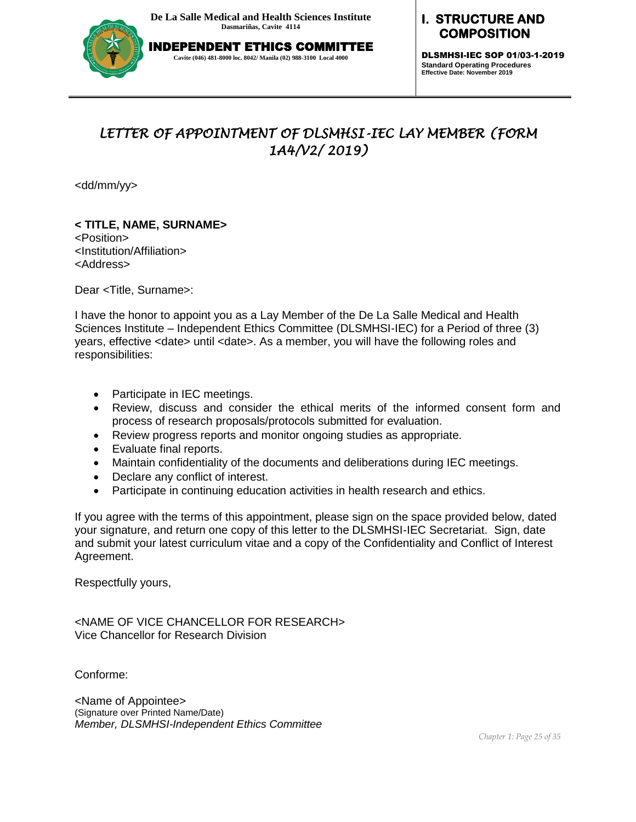

# **I. STRUCTURE AND COMPOSITION**

DLSMHSI-IEC SOP 01/03-1-2019 **Standard Operating Procedures Effective Date: November 2019**

# *LETTER OF APPOINTMENT OF DLSMHSI-IEC LAY MEMBER (FORM 1A4/V2/ 2019)*

<dd/mm/yy>

**< TITLE, NAME, SURNAME>**  <Position> <Institution/Affiliation> <Address>

Dear <Title, Surname>:

I have the honor to appoint you as a Lay Member of the De La Salle Medical and Health Sciences Institute – Independent Ethics Committee (DLSMHSI-IEC) for a Period of three (3) years, effective <date> until <date>. As a member, you will have the following roles and responsibilities:

- Participate in IEC meetings.
- Review, discuss and consider the ethical merits of the informed consent form and process of research proposals/protocols submitted for evaluation.
- Review progress reports and monitor ongoing studies as appropriate.
- Evaluate final reports.
- Maintain confidentiality of the documents and deliberations during IEC meetings.
- Declare any conflict of interest.
- Participate in continuing education activities in health research and ethics.

If you agree with the terms of this appointment, please sign on the space provided below, dated your signature, and return one copy of this letter to the DLSMHSI-IEC Secretariat. Sign, date and submit your latest curriculum vitae and a copy of the Confidentiality and Conflict of Interest Agreement.

Respectfully yours,

<NAME OF VICE CHANCELLOR FOR RESEARCH> Vice Chancellor for Research Division

Conforme:

<Name of Appointee> (Signature over Printed Name/Date) *Member, DLSMHSI-Independent Ethics Committee*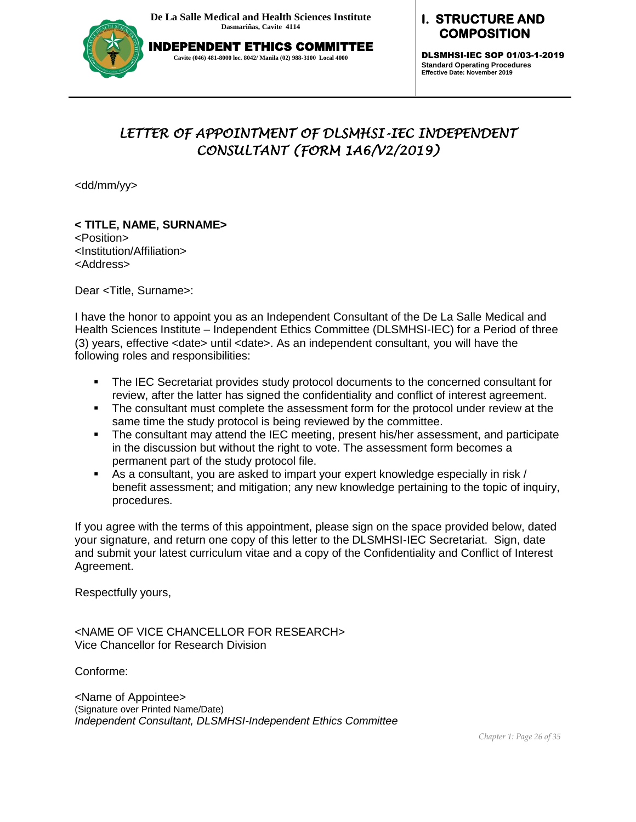

INDEPENDENT ETHICS COMMITTEE **Cavite (046) 481-8000 loc. 8042/ Manila (02) 988-3100 Local 4000**

# **I. STRUCTURE AND COMPOSITION**

DLSMHSI-IEC SOP 01/03-1-2019 **Standard Operating Procedures Effective Date: November 2019**

# *LETTER OF APPOINTMENT OF DLSMHSI-IEC INDEPENDENT CONSULTANT (FORM 1A6/V2/2019)*

<dd/mm/yy>

# **< TITLE, NAME, SURNAME>**

<Position> <Institution/Affiliation> <Address>

Dear <Title, Surname>:

I have the honor to appoint you as an Independent Consultant of the De La Salle Medical and Health Sciences Institute – Independent Ethics Committee (DLSMHSI-IEC) for a Period of three (3) years, effective <date> until <date>. As an independent consultant, you will have the following roles and responsibilities:

- The IEC Secretariat provides study protocol documents to the concerned consultant for review, after the latter has signed the confidentiality and conflict of interest agreement.
- The consultant must complete the assessment form for the protocol under review at the same time the study protocol is being reviewed by the committee.
- The consultant may attend the IEC meeting, present his/her assessment, and participate in the discussion but without the right to vote. The assessment form becomes a permanent part of the study protocol file.
- As a consultant, you are asked to impart your expert knowledge especially in risk / benefit assessment; and mitigation; any new knowledge pertaining to the topic of inquiry, procedures.

If you agree with the terms of this appointment, please sign on the space provided below, dated your signature, and return one copy of this letter to the DLSMHSI-IEC Secretariat. Sign, date and submit your latest curriculum vitae and a copy of the Confidentiality and Conflict of Interest Agreement.

Respectfully yours,

<NAME OF VICE CHANCELLOR FOR RESEARCH> Vice Chancellor for Research Division

Conforme:

<Name of Appointee> (Signature over Printed Name/Date) *Independent Consultant, DLSMHSI-Independent Ethics Committee*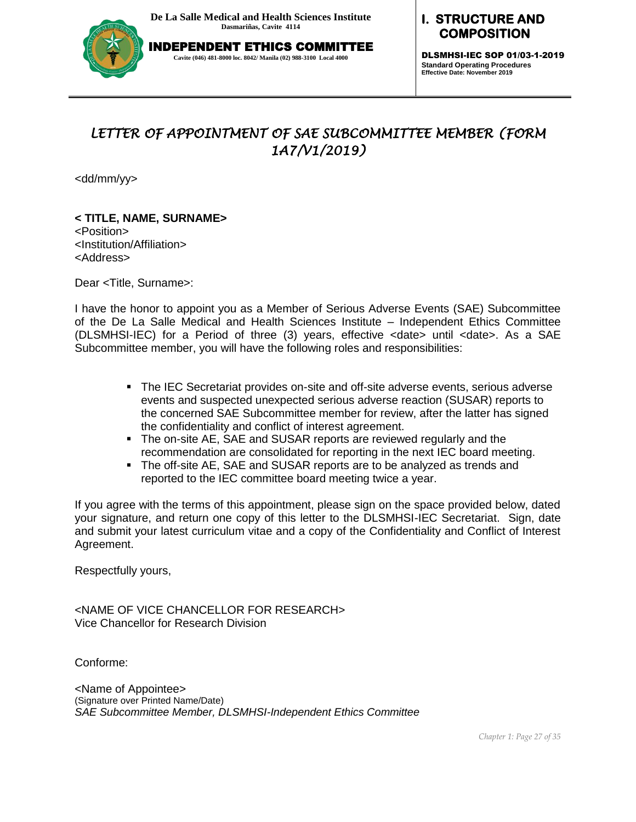

# **I. STRUCTURE AND COMPOSITION**

DLSMHSI-IEC SOP 01/03-1-2019 **Standard Operating Procedures Effective Date: November 2019**

# *LETTER OF APPOINTMENT OF SAE SUBCOMMITTEE MEMBER (FORM 1A7/V1/2019)*

<dd/mm/yy>

# **< TITLE, NAME, SURNAME>**

<Position> <Institution/Affiliation> <Address>

Dear <Title, Surname>:

I have the honor to appoint you as a Member of Serious Adverse Events (SAE) Subcommittee of the De La Salle Medical and Health Sciences Institute – Independent Ethics Committee (DLSMHSI-IEC) for a Period of three (3) years, effective <date> until <date>. As a SAE Subcommittee member, you will have the following roles and responsibilities:

- The IEC Secretariat provides on-site and off-site adverse events, serious adverse events and suspected unexpected serious adverse reaction (SUSAR) reports to the concerned SAE Subcommittee member for review, after the latter has signed the confidentiality and conflict of interest agreement.
- The on-site AE, SAE and SUSAR reports are reviewed regularly and the recommendation are consolidated for reporting in the next IEC board meeting.
- The off-site AE, SAE and SUSAR reports are to be analyzed as trends and reported to the IEC committee board meeting twice a year.

If you agree with the terms of this appointment, please sign on the space provided below, dated your signature, and return one copy of this letter to the DLSMHSI-IEC Secretariat. Sign, date and submit your latest curriculum vitae and a copy of the Confidentiality and Conflict of Interest Agreement.

Respectfully yours,

<NAME OF VICE CHANCELLOR FOR RESEARCH> Vice Chancellor for Research Division

Conforme:

<Name of Appointee> (Signature over Printed Name/Date) *SAE Subcommittee Member, DLSMHSI-Independent Ethics Committee*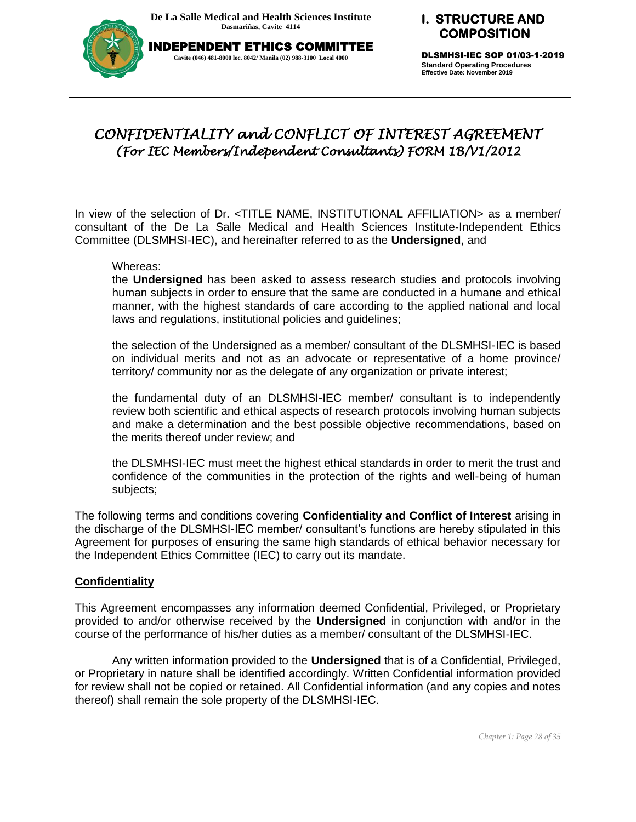

#### **I. STRUCTURE AND COMPOSITION**

DLSMHSI-IEC SOP 01/03-1-2019 **Standard Operating Procedures Effective Date: November 2019**

# *CONFIDENTIALITY and CONFLICT OF INTEREST AGREEMENT (For IEC Members/Independent Consultants) FORM 1B/V1/2012*

In view of the selection of Dr. <TITLE NAME, INSTITUTIONAL AFFILIATION> as a member/ consultant of the De La Salle Medical and Health Sciences Institute-Independent Ethics Committee (DLSMHSI-IEC), and hereinafter referred to as the **Undersigned**, and

Whereas:

the **Undersigned** has been asked to assess research studies and protocols involving human subjects in order to ensure that the same are conducted in a humane and ethical manner, with the highest standards of care according to the applied national and local laws and regulations, institutional policies and guidelines;

the selection of the Undersigned as a member/ consultant of the DLSMHSI-IEC is based on individual merits and not as an advocate or representative of a home province/ territory/ community nor as the delegate of any organization or private interest;

the fundamental duty of an DLSMHSI-IEC member/ consultant is to independently review both scientific and ethical aspects of research protocols involving human subjects and make a determination and the best possible objective recommendations, based on the merits thereof under review; and

the DLSMHSI-IEC must meet the highest ethical standards in order to merit the trust and confidence of the communities in the protection of the rights and well-being of human subjects;

The following terms and conditions covering **Confidentiality and Conflict of Interest** arising in the discharge of the DLSMHSI-IEC member/ consultant's functions are hereby stipulated in this Agreement for purposes of ensuring the same high standards of ethical behavior necessary for the Independent Ethics Committee (IEC) to carry out its mandate.

### **Confidentiality**

This Agreement encompasses any information deemed Confidential, Privileged, or Proprietary provided to and/or otherwise received by the **Undersigned** in conjunction with and/or in the course of the performance of his/her duties as a member/ consultant of the DLSMHSI-IEC.

Any written information provided to the **Undersigned** that is of a Confidential, Privileged, or Proprietary in nature shall be identified accordingly. Written Confidential information provided for review shall not be copied or retained. All Confidential information (and any copies and notes thereof) shall remain the sole property of the DLSMHSI-IEC.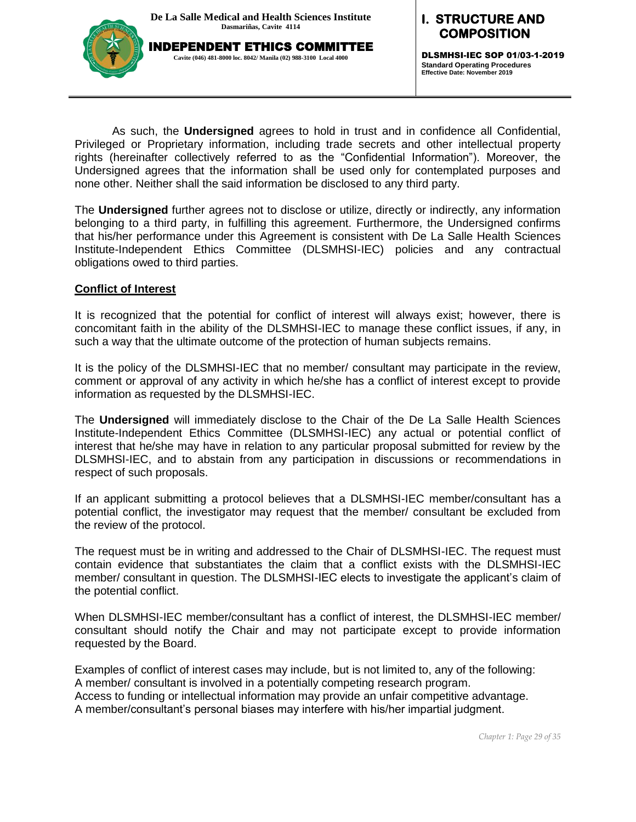

DLSMHSI-IEC SOP 01/03-1-2019 **Standard Operating Procedures Effective Date: November 2019**

As such, the **Undersigned** agrees to hold in trust and in confidence all Confidential, Privileged or Proprietary information, including trade secrets and other intellectual property rights (hereinafter collectively referred to as the "Confidential Information"). Moreover, the Undersigned agrees that the information shall be used only for contemplated purposes and none other. Neither shall the said information be disclosed to any third party.

The **Undersigned** further agrees not to disclose or utilize, directly or indirectly, any information belonging to a third party, in fulfilling this agreement. Furthermore, the Undersigned confirms that his/her performance under this Agreement is consistent with De La Salle Health Sciences Institute-Independent Ethics Committee (DLSMHSI-IEC) policies and any contractual obligations owed to third parties.

#### **Conflict of Interest**

It is recognized that the potential for conflict of interest will always exist; however, there is concomitant faith in the ability of the DLSMHSI-IEC to manage these conflict issues, if any, in such a way that the ultimate outcome of the protection of human subjects remains.

It is the policy of the DLSMHSI-IEC that no member/ consultant may participate in the review, comment or approval of any activity in which he/she has a conflict of interest except to provide information as requested by the DLSMHSI-IEC.

The **Undersigned** will immediately disclose to the Chair of the De La Salle Health Sciences Institute-Independent Ethics Committee (DLSMHSI-IEC) any actual or potential conflict of interest that he/she may have in relation to any particular proposal submitted for review by the DLSMHSI-IEC, and to abstain from any participation in discussions or recommendations in respect of such proposals.

If an applicant submitting a protocol believes that a DLSMHSI-IEC member/consultant has a potential conflict, the investigator may request that the member/ consultant be excluded from the review of the protocol.

The request must be in writing and addressed to the Chair of DLSMHSI-IEC. The request must contain evidence that substantiates the claim that a conflict exists with the DLSMHSI-IEC member/ consultant in question. The DLSMHSI-IEC elects to investigate the applicant's claim of the potential conflict.

When DLSMHSI-IEC member/consultant has a conflict of interest, the DLSMHSI-IEC member/ consultant should notify the Chair and may not participate except to provide information requested by the Board.

Examples of conflict of interest cases may include, but is not limited to, any of the following: A member/ consultant is involved in a potentially competing research program. Access to funding or intellectual information may provide an unfair competitive advantage. A member/consultant's personal biases may interfere with his/her impartial judgment.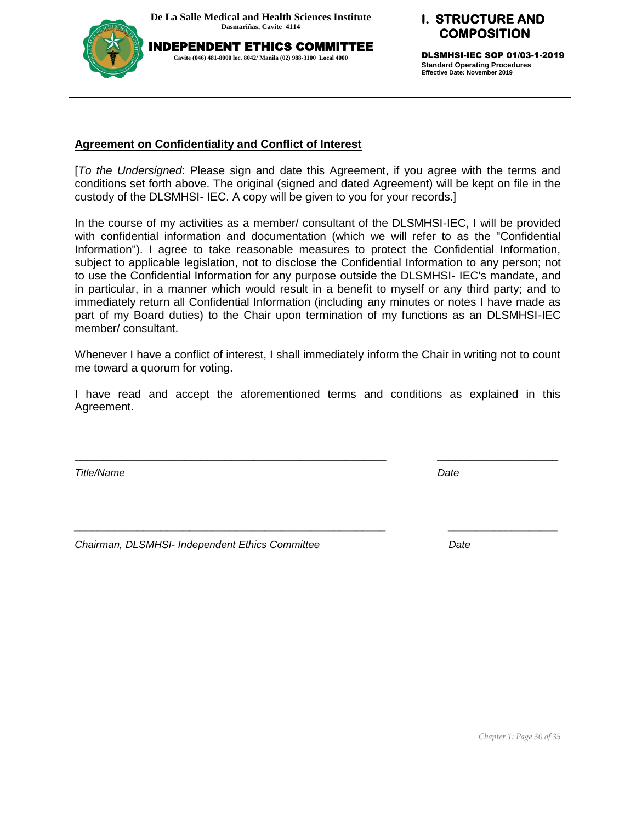INDEPENDENT ETHICS COMMITTEE **Cavite (046) 481-8000 loc. 8042/ Manila (02) 988-3100 Local 4000**



**I. STRUCTURE AND MPOSITION** 

DLSMHSI-IEC SOP 01/03-1-2019 **Standard Operating Procedures Effective Date: November 2019**

#### **Agreement on Confidentiality and Conflict of Interest**

[*To the Undersigned*: Please sign and date this Agreement, if you agree with the terms and conditions set forth above. The original (signed and dated Agreement) will be kept on file in the custody of the DLSMHSI- IEC. A copy will be given to you for your records.]

In the course of my activities as a member/ consultant of the DLSMHSI-IEC, I will be provided with confidential information and documentation (which we will refer to as the "Confidential Information"). I agree to take reasonable measures to protect the Confidential Information, subject to applicable legislation, not to disclose the Confidential Information to any person; not to use the Confidential Information for any purpose outside the DLSMHSI- IEC's mandate, and in particular, in a manner which would result in a benefit to myself or any third party; and to immediately return all Confidential Information (including any minutes or notes I have made as part of my Board duties) to the Chair upon termination of my functions as an DLSMHSI-IEC member/ consultant.

Whenever I have a conflict of interest, I shall immediately inform the Chair in writing not to count me toward a quorum for voting.

I have read and accept the aforementioned terms and conditions as explained in this Agreement.

\_\_\_\_\_\_\_\_\_\_\_\_\_\_\_\_\_\_\_\_\_\_\_\_\_\_\_\_\_\_\_\_\_\_\_\_\_\_\_\_\_\_\_\_\_\_\_\_\_\_\_\_\_\_ \_\_\_\_\_\_\_\_\_\_\_\_\_\_\_\_\_\_\_\_\_

*\_\_\_\_\_\_\_\_\_\_\_\_\_\_\_\_\_\_\_\_\_\_\_\_\_\_\_\_\_\_\_\_\_\_\_\_\_\_\_\_\_\_\_\_\_\_\_\_\_\_\_\_\_\_ \_\_\_\_\_\_\_\_\_\_\_\_\_\_\_\_\_\_\_*

*Title/Name Date*

*Chairman, DLSMHSI- Independent Ethics Committee Date*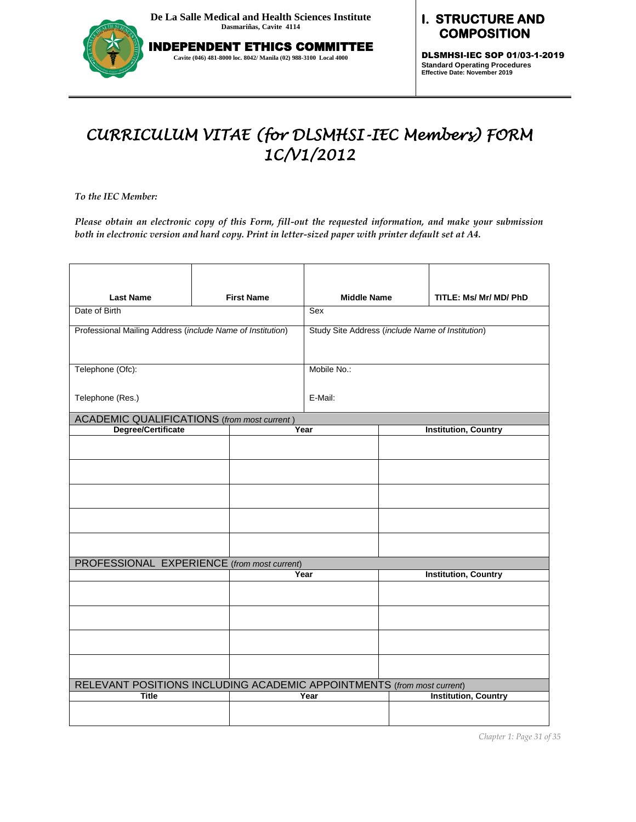

INDEPENDENT ETHICS COMMITTEE **Cavite (046) 481-8000 loc. 8042/ Manila (02) 988-3100 Local 4000**

# **I. STRUCTURE AND COMPOSITION**

DLSMHSI-IEC SOP 01/03-1-2019 **Standard Operating Procedures Effective Date: November 2019**

# *CURRICULUM VITAE (for DLSMHSI-IEC Members) FORM 1C/V1/2012*

*To the IEC Member:* 

*Please obtain an electronic copy of this Form, fill-out the requested information, and make your submission both in electronic version and hard copy. Print in letter-sized paper with printer default set at A4.*

| <b>Last Name</b>                                                       |                                                            | <b>First Name</b> | <b>Middle Name</b> |  | TITLE: Ms/ Mr/ MD/ PhD                           |
|------------------------------------------------------------------------|------------------------------------------------------------|-------------------|--------------------|--|--------------------------------------------------|
| Date of Birth                                                          |                                                            |                   |                    |  |                                                  |
|                                                                        | Professional Mailing Address (include Name of Institution) |                   |                    |  | Study Site Address (include Name of Institution) |
| Telephone (Ofc):                                                       |                                                            |                   | Mobile No.:        |  |                                                  |
| Telephone (Res.)                                                       |                                                            |                   | E-Mail:            |  |                                                  |
| ACADEMIC QUALIFICATIONS (from most current)                            |                                                            |                   |                    |  |                                                  |
| Degree/Certificate                                                     |                                                            |                   | Year               |  | <b>Institution, Country</b>                      |
|                                                                        |                                                            |                   |                    |  |                                                  |
|                                                                        |                                                            |                   |                    |  |                                                  |
|                                                                        |                                                            |                   |                    |  |                                                  |
|                                                                        |                                                            |                   |                    |  |                                                  |
|                                                                        |                                                            |                   |                    |  |                                                  |
| PROFESSIONAL EXPERIENCE (from most current)                            |                                                            |                   |                    |  |                                                  |
|                                                                        |                                                            | Year              |                    |  | <b>Institution, Country</b>                      |
|                                                                        |                                                            |                   |                    |  |                                                  |
|                                                                        |                                                            |                   |                    |  |                                                  |
|                                                                        |                                                            |                   |                    |  |                                                  |
|                                                                        |                                                            |                   |                    |  |                                                  |
| RELEVANT POSITIONS INCLUDING ACADEMIC APPOINTMENTS (from most current) |                                                            |                   |                    |  |                                                  |
| <b>Title</b>                                                           |                                                            |                   | Year               |  | <b>Institution, Country</b>                      |
|                                                                        |                                                            |                   |                    |  |                                                  |

*Chapter 1: Page 31 of 35*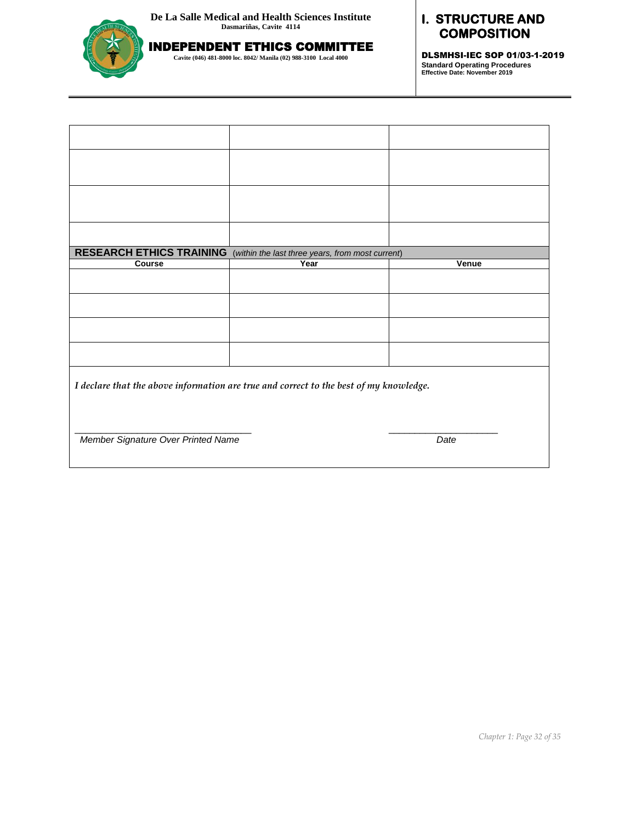

INDEPENDENT ETHICS COMMITTEE **Cavite (046) 481-8000 loc. 8042/ Manila (02) 988-3100 Local 4000**

# **I. STRUCTURE AND COMPOSITION**

DLSMHSI-IEC SOP 01/03-1-2019 **Standard Operating Procedures Effective Date: November 2019**

| <b>RESEARCH ETHICS TRAINING</b>                                                        | (within the last three years, from most current) |       |  |  |
|----------------------------------------------------------------------------------------|--------------------------------------------------|-------|--|--|
| <b>Course</b>                                                                          | Year                                             | Venue |  |  |
|                                                                                        |                                                  |       |  |  |
|                                                                                        |                                                  |       |  |  |
|                                                                                        |                                                  |       |  |  |
|                                                                                        |                                                  |       |  |  |
| I declare that the above information are true and correct to the best of my knowledge. |                                                  |       |  |  |
|                                                                                        |                                                  |       |  |  |
| Member Signature Over Printed Name                                                     |                                                  | Date  |  |  |
|                                                                                        |                                                  |       |  |  |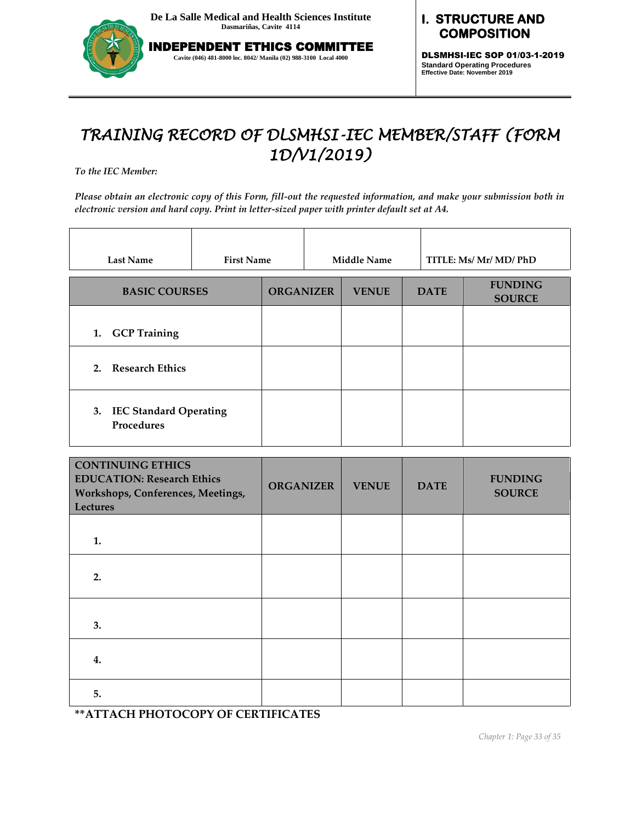

INDEPENDENT ETHICS COMMITTEE **Cavite (046) 481-8000 loc. 8042/ Manila (02) 988-3100 Local 4000**

### **I. STRUCTURE AND COMPOSITION**

DLSMHSI-IEC SOP 01/03-1-2019 **Standard Operating Procedures Effective Date: November 2019**

# *TRAINING RECORD OF DLSMHSI-IEC MEMBER/STAFF (FORM 1D/V1/2019)*

*To the IEC Member:* 

*Please obtain an electronic copy of this Form, fill-out the requested information, and make your submission both in electronic version and hard copy. Print in letter-sized paper with printer default set at A4.*

| <b>Last Name</b>                                  | <b>First Name</b> |                  | <b>Middle Name</b> |             | TITLE: Ms/ Mr/ MD/ PhD          |
|---------------------------------------------------|-------------------|------------------|--------------------|-------------|---------------------------------|
| <b>BASIC COURSES</b>                              |                   | <b>ORGANIZER</b> | <b>VENUE</b>       | <b>DATE</b> | <b>FUNDING</b><br><b>SOURCE</b> |
| 1. GCP Training                                   |                   |                  |                    |             |                                 |
| 2. Research Ethics                                |                   |                  |                    |             |                                 |
| <b>IEC Standard Operating</b><br>3.<br>Procedures |                   |                  |                    |             |                                 |

| <b>CONTINUING ETHICS</b><br><b>EDUCATION: Research Ethics</b><br>Workshops, Conferences, Meetings,<br><b>Lectures</b> | <b>ORGANIZER</b> | <b>VENUE</b> | <b>DATE</b> | <b>FUNDING</b><br><b>SOURCE</b> |
|-----------------------------------------------------------------------------------------------------------------------|------------------|--------------|-------------|---------------------------------|
| 1.                                                                                                                    |                  |              |             |                                 |
| 2.                                                                                                                    |                  |              |             |                                 |
| 3.                                                                                                                    |                  |              |             |                                 |
| 4.                                                                                                                    |                  |              |             |                                 |
| 5.                                                                                                                    |                  |              |             |                                 |

**\*\*ATTACH PHOTOCOPY OF CERTIFICATES**